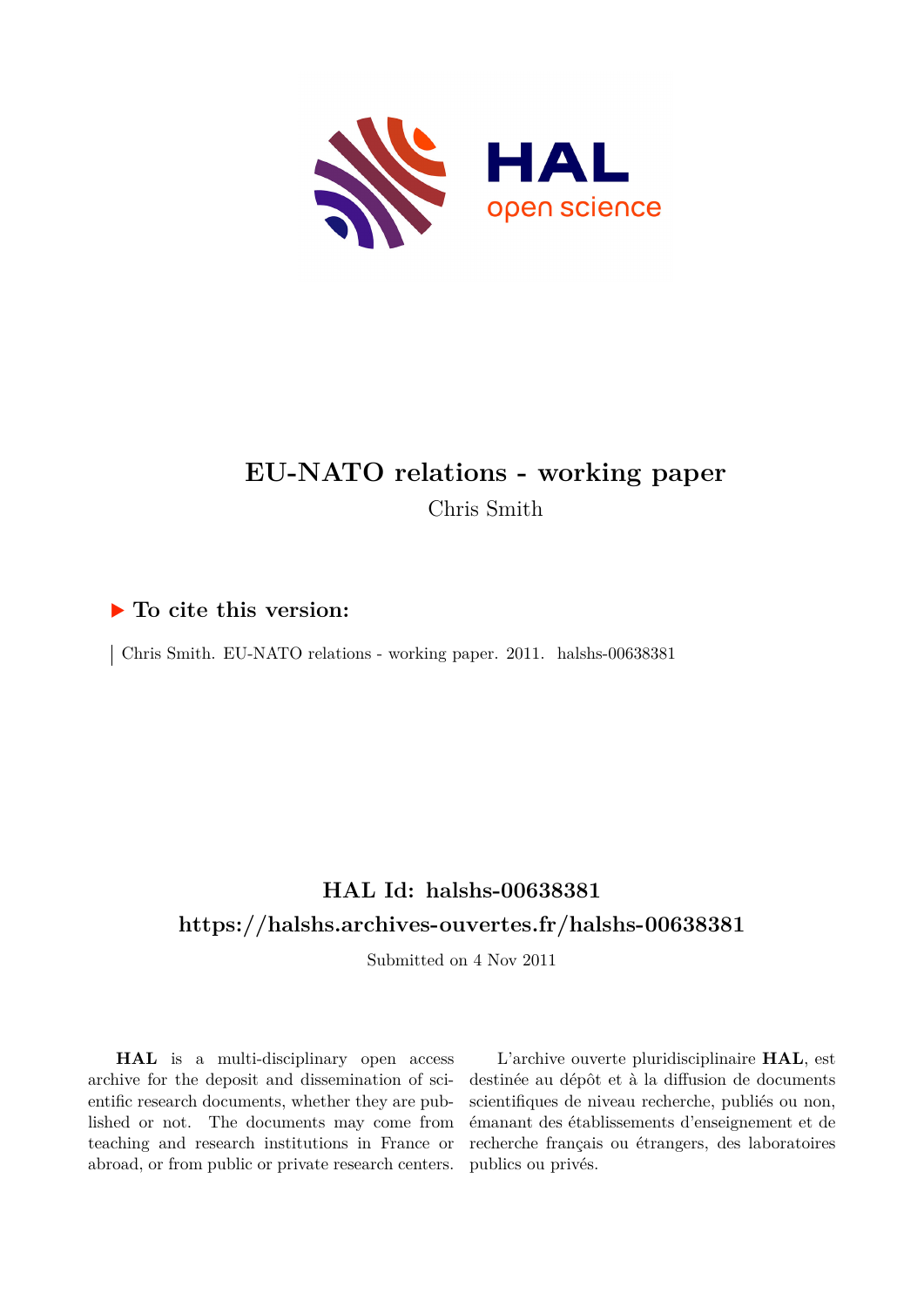

# **EU-NATO relations - working paper** Chris Smith

## **To cite this version:**

 $\vert$  Chris Smith. EU-NATO relations - working paper. 2011. halshs-00638381

# **HAL Id: halshs-00638381 <https://halshs.archives-ouvertes.fr/halshs-00638381>**

Submitted on 4 Nov 2011

**HAL** is a multi-disciplinary open access archive for the deposit and dissemination of scientific research documents, whether they are published or not. The documents may come from teaching and research institutions in France or abroad, or from public or private research centers.

L'archive ouverte pluridisciplinaire **HAL**, est destinée au dépôt et à la diffusion de documents scientifiques de niveau recherche, publiés ou non, émanant des établissements d'enseignement et de recherche français ou étrangers, des laboratoires publics ou privés.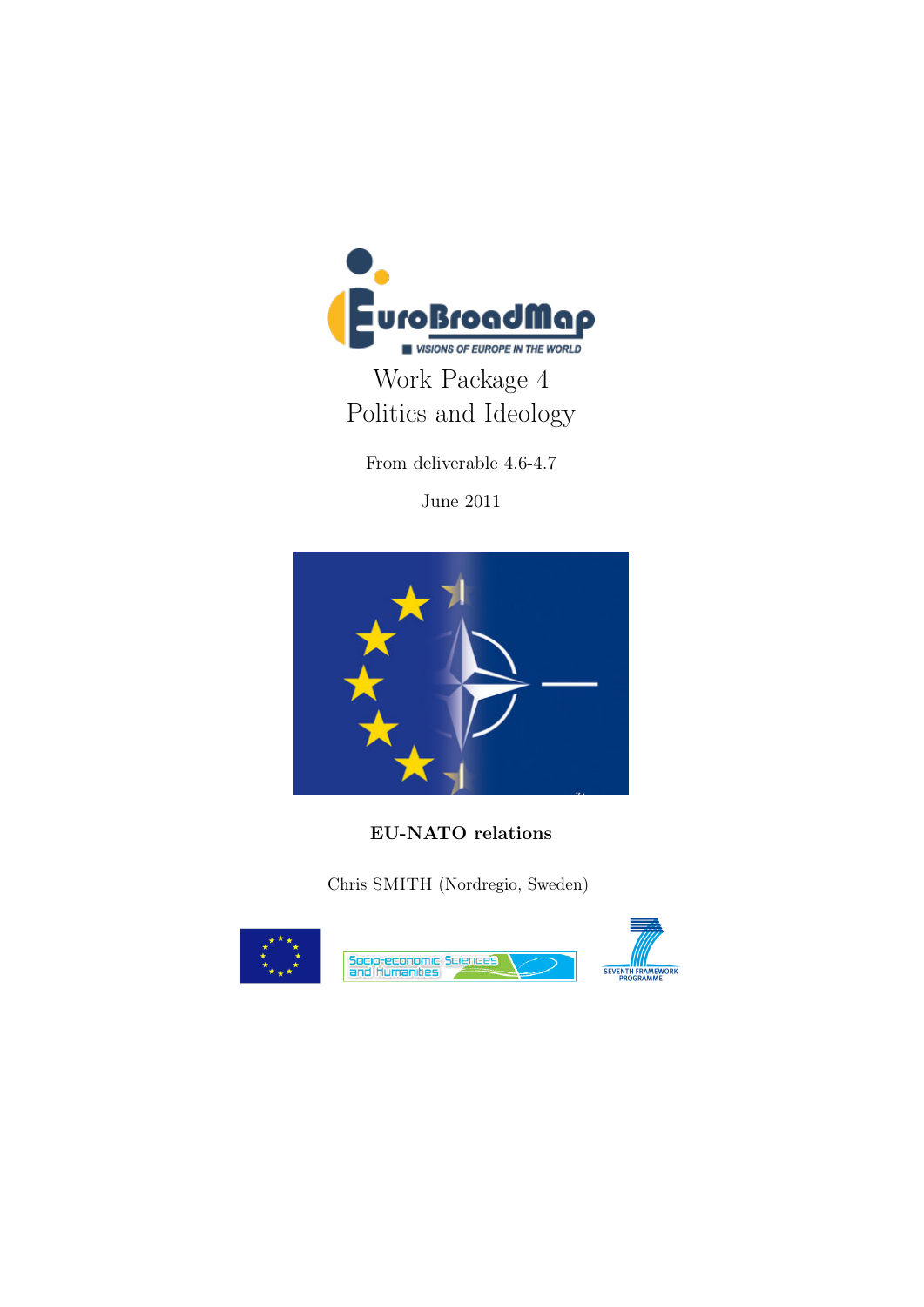

Work Package 4 Politics and Ideology

From deliverable 4.6-4.7

June 2011



EU-NATO relations

Chris SMITH (Nordregio, Sweden)

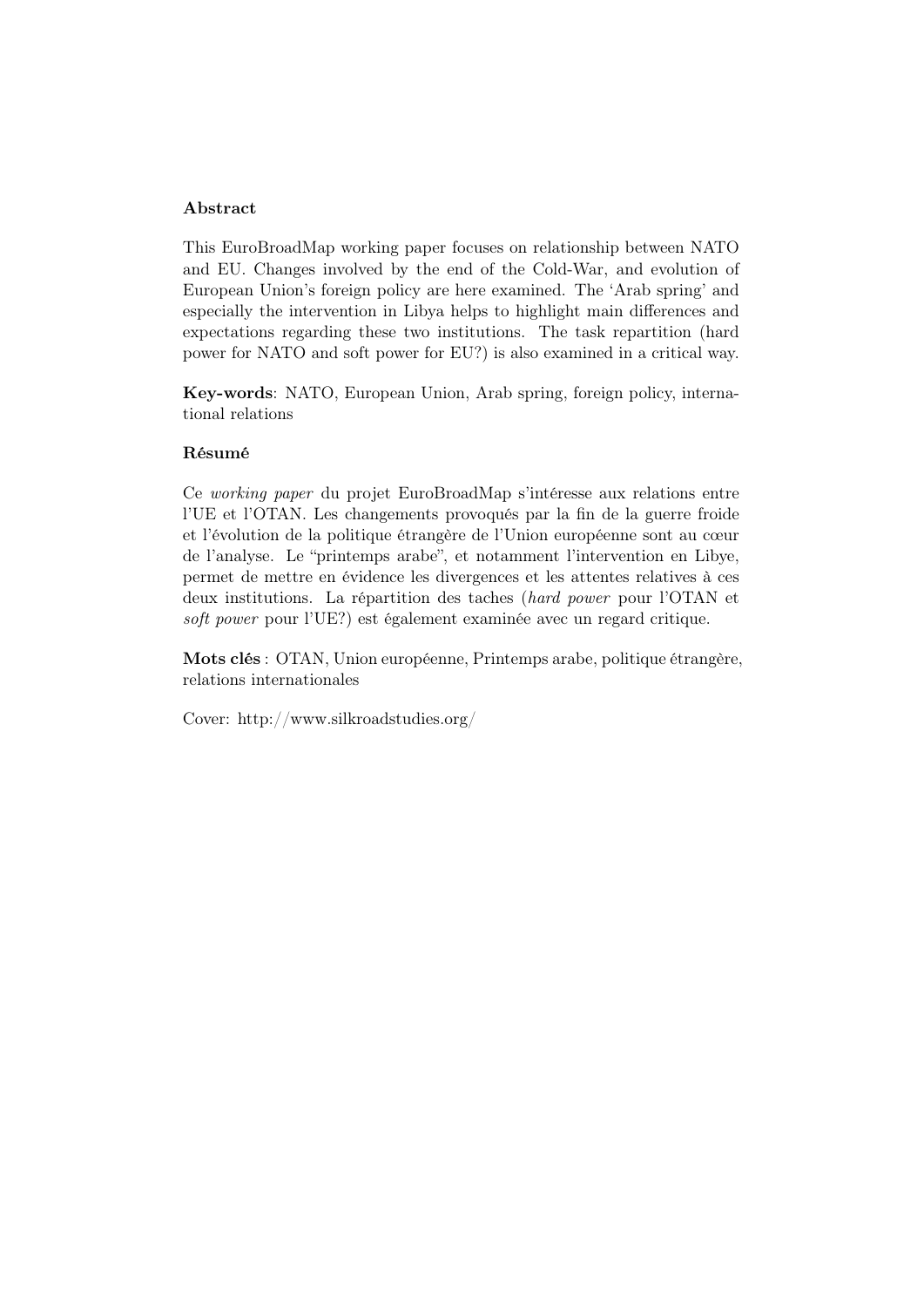### Abstract

This EuroBroadMap working paper focuses on relationship between NATO and EU. Changes involved by the end of the Cold-War, and evolution of European Union's foreign policy are here examined. The 'Arab spring' and especially the intervention in Libya helps to highlight main differences and expectations regarding these two institutions. The task repartition (hard power for NATO and soft power for EU?) is also examined in a critical way.

Key-words: NATO, European Union, Arab spring, foreign policy, international relations

#### Résumé

Ce working paper du projet EuroBroadMap s'intéresse aux relations entre l'UE et l'OTAN. Les changements provoqués par la fin de la guerre froide et l'évolution de la politique étrangère de l'Union européenne sont au cœur de l'analyse. Le "printemps arabe", et notamment l'intervention en Libye, permet de mettre en évidence les divergences et les attentes relatives à ces deux institutions. La répartition des taches (hard power pour l'OTAN et soft power pour l'UE?) est également examinée avec un regard critique.

Mots clés : OTAN, Union européenne, Printemps arabe, politique étrangère, relations internationales

Cover: http://www.silkroadstudies.org/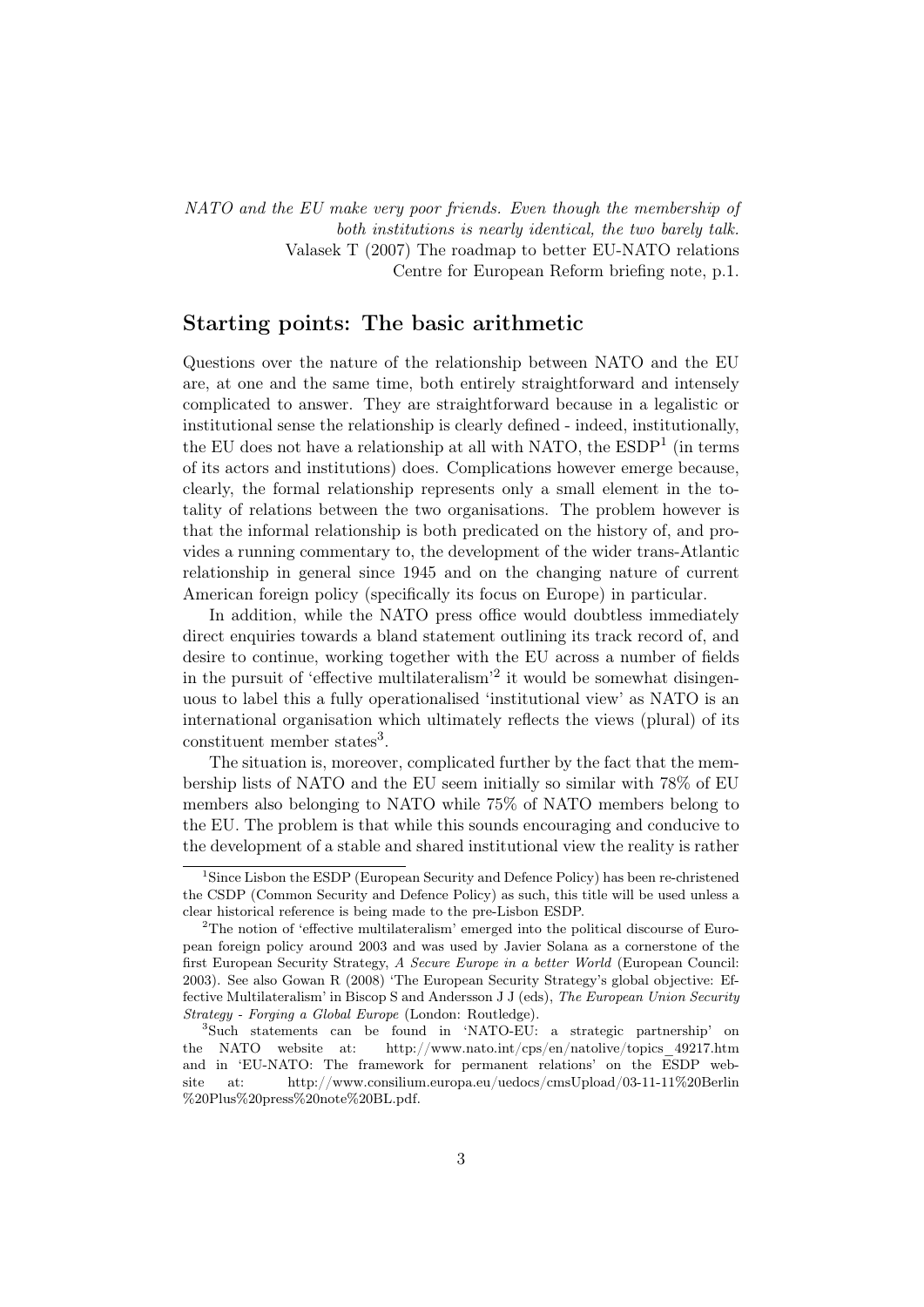NATO and the EU make very poor friends. Even though the membership of both institutions is nearly identical, the two barely talk. Valasek T (2007) The roadmap to better EU-NATO relations Centre for European Reform briefing note, p.1.

### Starting points: The basic arithmetic

Questions over the nature of the relationship between NATO and the EU are, at one and the same time, both entirely straightforward and intensely complicated to answer. They are straightforward because in a legalistic or institutional sense the relationship is clearly defined - indeed, institutionally, the EU does not have a relationship at all with NATO, the  $\mathrm{ESDP}^1$  (in terms of its actors and institutions) does. Complications however emerge because, clearly, the formal relationship represents only a small element in the totality of relations between the two organisations. The problem however is that the informal relationship is both predicated on the history of, and provides a running commentary to, the development of the wider trans-Atlantic relationship in general since 1945 and on the changing nature of current American foreign policy (specifically its focus on Europe) in particular.

In addition, while the NATO press office would doubtless immediately direct enquiries towards a bland statement outlining its track record of, and desire to continue, working together with the EU across a number of fields in the pursuit of 'effective multilateralism'2 it would be somewhat disingenuous to label this a fully operationalised 'institutional view' as NATO is an international organisation which ultimately reflects the views (plural) of its constituent member states<sup>3</sup>.

The situation is, moreover, complicated further by the fact that the membership lists of NATO and the EU seem initially so similar with 78% of EU members also belonging to NATO while 75% of NATO members belong to the EU. The problem is that while this sounds encouraging and conducive to the development of a stable and shared institutional view the reality is rather

<sup>&</sup>lt;sup>1</sup>Since Lisbon the ESDP (European Security and Defence Policy) has been re-christened the CSDP (Common Security and Defence Policy) as such, this title will be used unless a clear historical reference is being made to the pre-Lisbon ESDP.

 $2^2$ The notion of 'effective multilateralism' emerged into the political discourse of European foreign policy around 2003 and was used by Javier Solana as a cornerstone of the first European Security Strategy, A Secure Europe in a better World (European Council: 2003). See also Gowan R (2008) 'The European Security Strategy's global objective: Effective Multilateralism' in Biscop S and Andersson J J (eds), The European Union Security Strategy - Forging a Global Europe (London: Routledge).

<sup>3</sup>Such statements can be found in 'NATO-EU: a strategic partnership' on the NATO website at: http://www.nato.int/cps/en/natolive/topics\_49217.htm and in 'EU-NATO: The framework for permanent relations' on the ESDP website at: http://www.consilium.europa.eu/uedocs/cmsUpload/03-11-11%20Berlin %20Plus%20press%20note%20BL.pdf.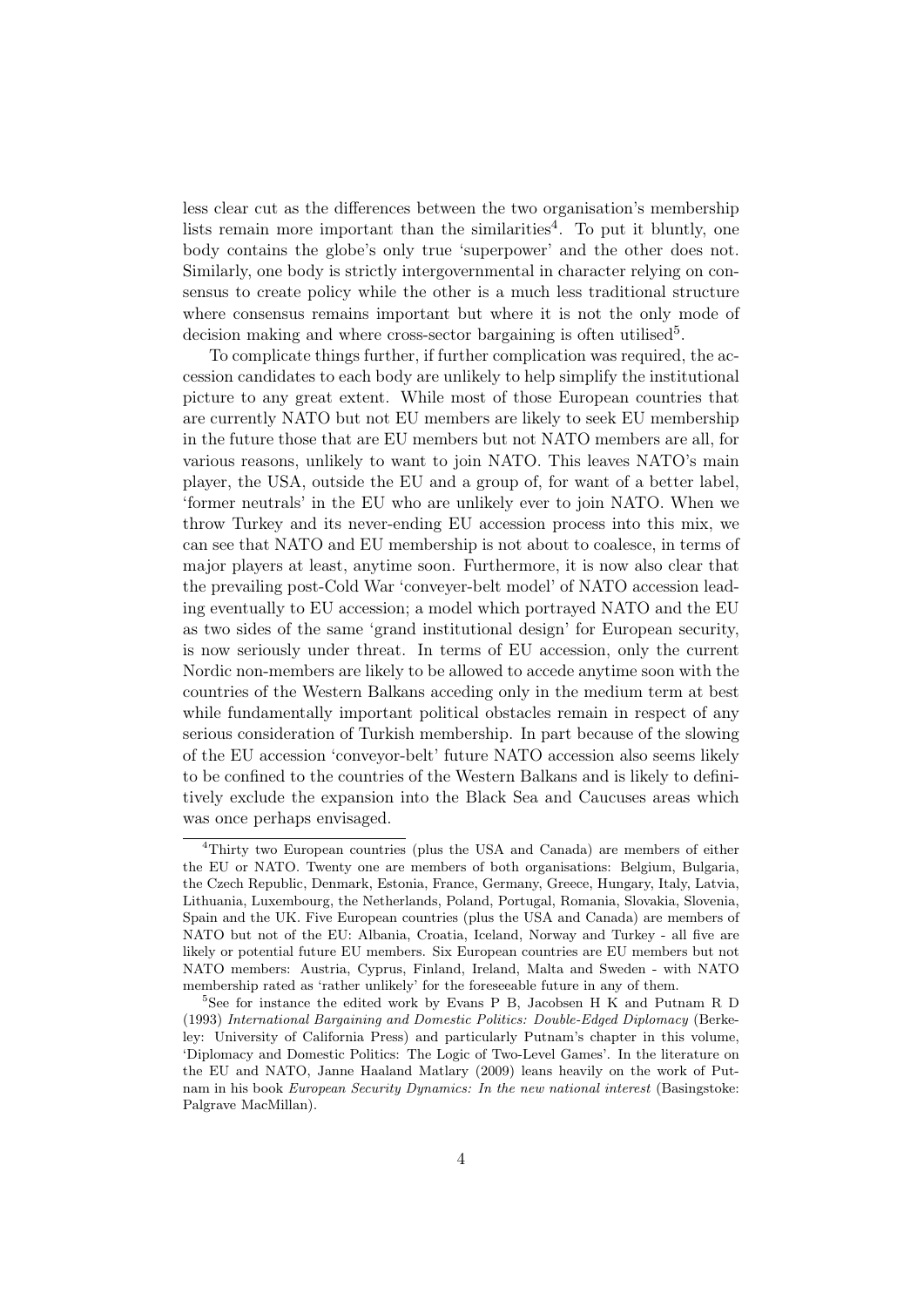less clear cut as the differences between the two organisation's membership lists remain more important than the similarities<sup>4</sup>. To put it bluntly, one body contains the globe's only true 'superpower' and the other does not. Similarly, one body is strictly intergovernmental in character relying on consensus to create policy while the other is a much less traditional structure where consensus remains important but where it is not the only mode of decision making and where cross-sector bargaining is often utilised<sup>5</sup>.

To complicate things further, if further complication was required, the accession candidates to each body are unlikely to help simplify the institutional picture to any great extent. While most of those European countries that are currently NATO but not EU members are likely to seek EU membership in the future those that are EU members but not NATO members are all, for various reasons, unlikely to want to join NATO. This leaves NATO's main player, the USA, outside the EU and a group of, for want of a better label, 'former neutrals' in the EU who are unlikely ever to join NATO. When we throw Turkey and its never-ending EU accession process into this mix, we can see that NATO and EU membership is not about to coalesce, in terms of major players at least, anytime soon. Furthermore, it is now also clear that the prevailing post-Cold War 'conveyer-belt model' of NATO accession leading eventually to EU accession; a model which portrayed NATO and the EU as two sides of the same 'grand institutional design' for European security, is now seriously under threat. In terms of EU accession, only the current Nordic non-members are likely to be allowed to accede anytime soon with the countries of the Western Balkans acceding only in the medium term at best while fundamentally important political obstacles remain in respect of any serious consideration of Turkish membership. In part because of the slowing of the EU accession 'conveyor-belt' future NATO accession also seems likely to be confined to the countries of the Western Balkans and is likely to definitively exclude the expansion into the Black Sea and Caucuses areas which was once perhaps envisaged.

<sup>4</sup>Thirty two European countries (plus the USA and Canada) are members of either the EU or NATO. Twenty one are members of both organisations: Belgium, Bulgaria, the Czech Republic, Denmark, Estonia, France, Germany, Greece, Hungary, Italy, Latvia, Lithuania, Luxembourg, the Netherlands, Poland, Portugal, Romania, Slovakia, Slovenia, Spain and the UK. Five European countries (plus the USA and Canada) are members of NATO but not of the EU: Albania, Croatia, Iceland, Norway and Turkey - all five are likely or potential future EU members. Six European countries are EU members but not NATO members: Austria, Cyprus, Finland, Ireland, Malta and Sweden - with NATO membership rated as 'rather unlikely' for the foreseeable future in any of them.

<sup>&</sup>lt;sup>5</sup>See for instance the edited work by Evans P B, Jacobsen H K and Putnam R D (1993) International Bargaining and Domestic Politics: Double-Edged Diplomacy (Berkeley: University of California Press) and particularly Putnam's chapter in this volume, 'Diplomacy and Domestic Politics: The Logic of Two-Level Games'. In the literature on the EU and NATO, Janne Haaland Matlary (2009) leans heavily on the work of Putnam in his book European Security Dynamics: In the new national interest (Basingstoke: Palgrave MacMillan).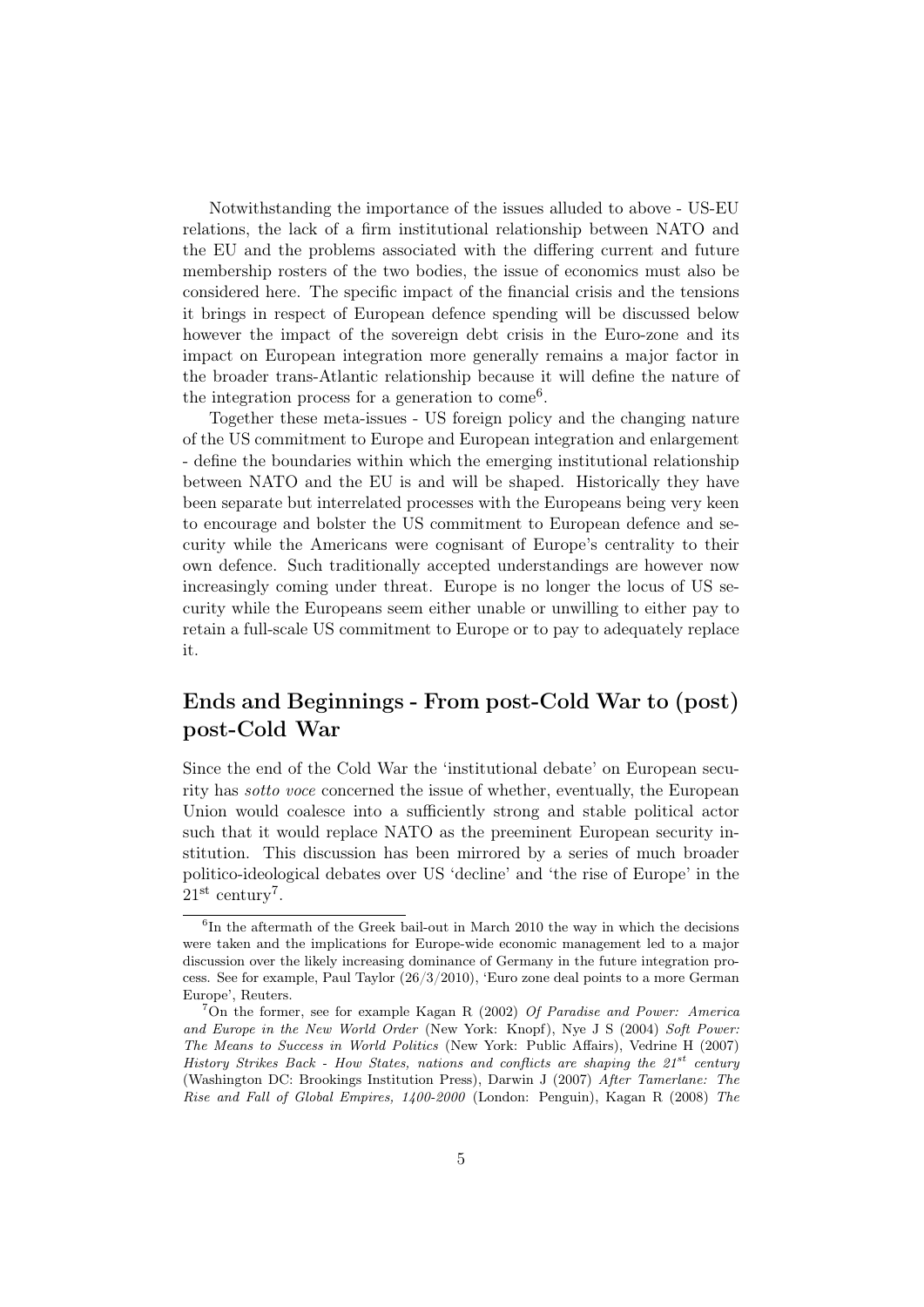Notwithstanding the importance of the issues alluded to above - US-EU relations, the lack of a firm institutional relationship between NATO and the EU and the problems associated with the differing current and future membership rosters of the two bodies, the issue of economics must also be considered here. The specific impact of the financial crisis and the tensions it brings in respect of European defence spending will be discussed below however the impact of the sovereign debt crisis in the Euro-zone and its impact on European integration more generally remains a major factor in the broader trans-Atlantic relationship because it will define the nature of the integration process for a generation to come<sup>6</sup>.

Together these meta-issues - US foreign policy and the changing nature of the US commitment to Europe and European integration and enlargement - define the boundaries within which the emerging institutional relationship between NATO and the EU is and will be shaped. Historically they have been separate but interrelated processes with the Europeans being very keen to encourage and bolster the US commitment to European defence and security while the Americans were cognisant of Europe's centrality to their own defence. Such traditionally accepted understandings are however now increasingly coming under threat. Europe is no longer the locus of US security while the Europeans seem either unable or unwilling to either pay to retain a full-scale US commitment to Europe or to pay to adequately replace it.

## Ends and Beginnings - From post-Cold War to (post) post-Cold War

Since the end of the Cold War the 'institutional debate' on European security has sotto voce concerned the issue of whether, eventually, the European Union would coalesce into a sufficiently strong and stable political actor such that it would replace NATO as the preeminent European security institution. This discussion has been mirrored by a series of much broader politico-ideological debates over US 'decline' and 'the rise of Europe' in the  $21<sup>st</sup>$  century<sup>7</sup>.

<sup>&</sup>lt;sup>6</sup>In the aftermath of the Greek bail-out in March 2010 the way in which the decisions were taken and the implications for Europe-wide economic management led to a major discussion over the likely increasing dominance of Germany in the future integration process. See for example, Paul Taylor (26/3/2010), 'Euro zone deal points to a more German Europe', Reuters.

<sup>&</sup>lt;sup>7</sup>On the former, see for example Kagan R (2002) Of Paradise and Power: America and Europe in the New World Order (New York: Knopf), Nye J S (2004) Soft Power: The Means to Success in World Politics (New York: Public Affairs), Vedrine H (2007) History Strikes Back - How States, nations and conflicts are shaping the  $21^{st}$  century (Washington DC: Brookings Institution Press), Darwin J (2007) After Tamerlane: The Rise and Fall of Global Empires, 1400-2000 (London: Penguin), Kagan R (2008) The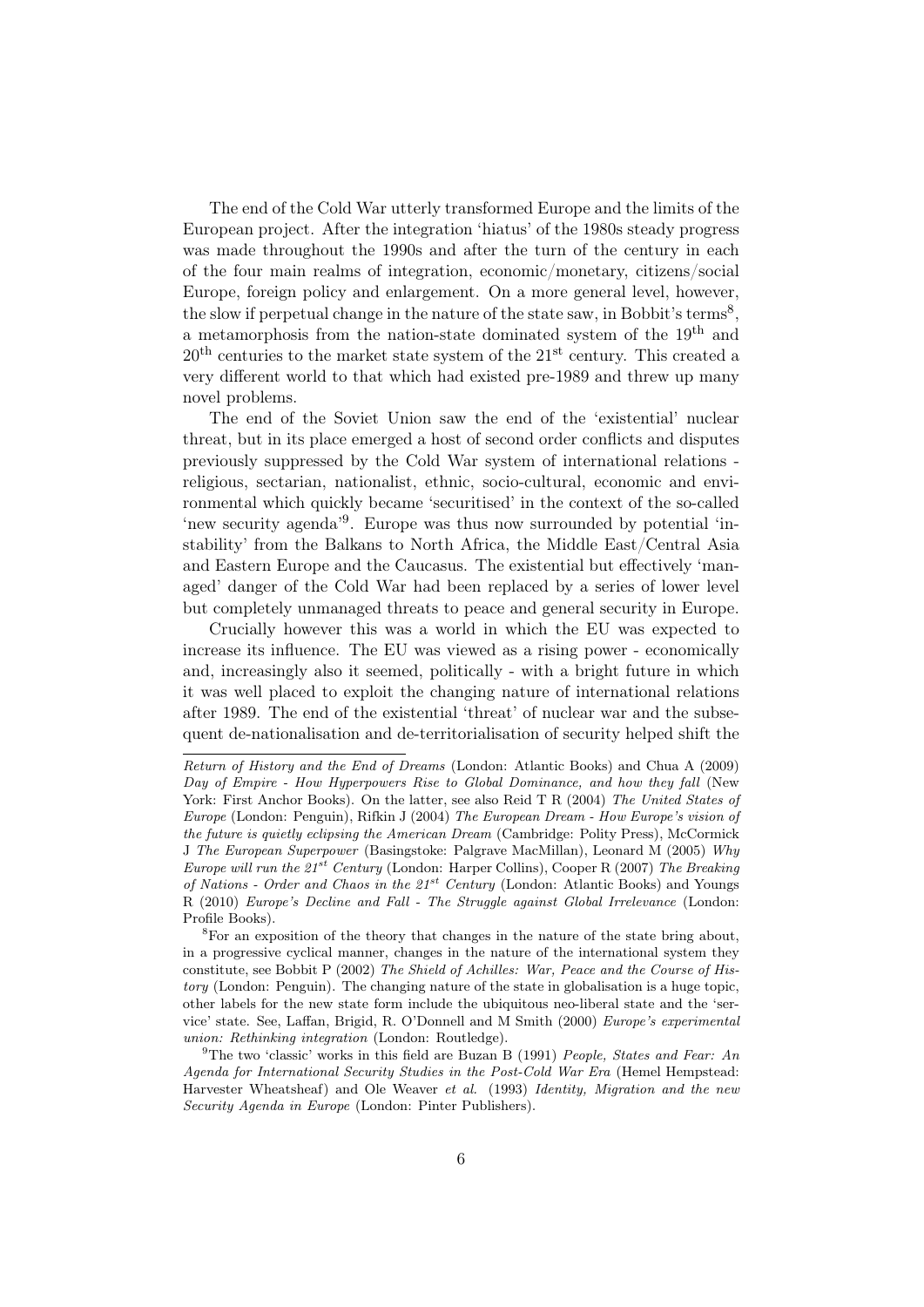The end of the Cold War utterly transformed Europe and the limits of the European project. After the integration 'hiatus' of the 1980s steady progress was made throughout the 1990s and after the turn of the century in each of the four main realms of integration, economic/monetary, citizens/social Europe, foreign policy and enlargement. On a more general level, however, the slow if perpetual change in the nature of the state saw, in Bobbit's terms<sup>8</sup>, a metamorphosis from the nation-state dominated system of the 19th and  $20<sup>th</sup>$  centuries to the market state system of the  $21<sup>st</sup>$  century. This created a very different world to that which had existed pre-1989 and threw up many novel problems.

The end of the Soviet Union saw the end of the 'existential' nuclear threat, but in its place emerged a host of second order conflicts and disputes previously suppressed by the Cold War system of international relations religious, sectarian, nationalist, ethnic, socio-cultural, economic and environmental which quickly became 'securitised' in the context of the so-called 'new security agenda<sup>'9</sup>. Europe was thus now surrounded by potential 'instability' from the Balkans to North Africa, the Middle East/Central Asia and Eastern Europe and the Caucasus. The existential but effectively 'managed' danger of the Cold War had been replaced by a series of lower level but completely unmanaged threats to peace and general security in Europe.

Crucially however this was a world in which the EU was expected to increase its influence. The EU was viewed as a rising power - economically and, increasingly also it seemed, politically - with a bright future in which it was well placed to exploit the changing nature of international relations after 1989. The end of the existential 'threat' of nuclear war and the subsequent de-nationalisation and de-territorialisation of security helped shift the

Return of History and the End of Dreams (London: Atlantic Books) and Chua A (2009) Day of Empire - How Hyperpowers Rise to Global Dominance, and how they fall (New York: First Anchor Books). On the latter, see also Reid T R (2004) The United States of Europe (London: Penguin), Rifkin J (2004) The European Dream - How Europe's vision of the future is quietly eclipsing the American Dream (Cambridge: Polity Press), McCormick J The European Superpower (Basingstoke: Palgrave MacMillan), Leonard M (2005) Why Europe will run the  $21^{st}$  Century (London: Harper Collins), Cooper R (2007) The Breaking of Nations - Order and Chaos in the  $21^{st}$  Century (London: Atlantic Books) and Youngs R (2010) Europe's Decline and Fall - The Struggle against Global Irrelevance (London: Profile Books).

<sup>8</sup>For an exposition of the theory that changes in the nature of the state bring about, in a progressive cyclical manner, changes in the nature of the international system they constitute, see Bobbit P (2002) The Shield of Achilles: War, Peace and the Course of History (London: Penguin). The changing nature of the state in globalisation is a huge topic, other labels for the new state form include the ubiquitous neo-liberal state and the 'service' state. See, Laffan, Brigid, R. O'Donnell and M Smith (2000) Europe's experimental union: Rethinking integration (London: Routledge).

<sup>&</sup>lt;sup>9</sup>The two 'classic' works in this field are Buzan B (1991) *People, States and Fear: An* Agenda for International Security Studies in the Post-Cold War Era (Hemel Hempstead: Harvester Wheatsheaf) and Ole Weaver et al. (1993) Identity, Migration and the new Security Agenda in Europe (London: Pinter Publishers).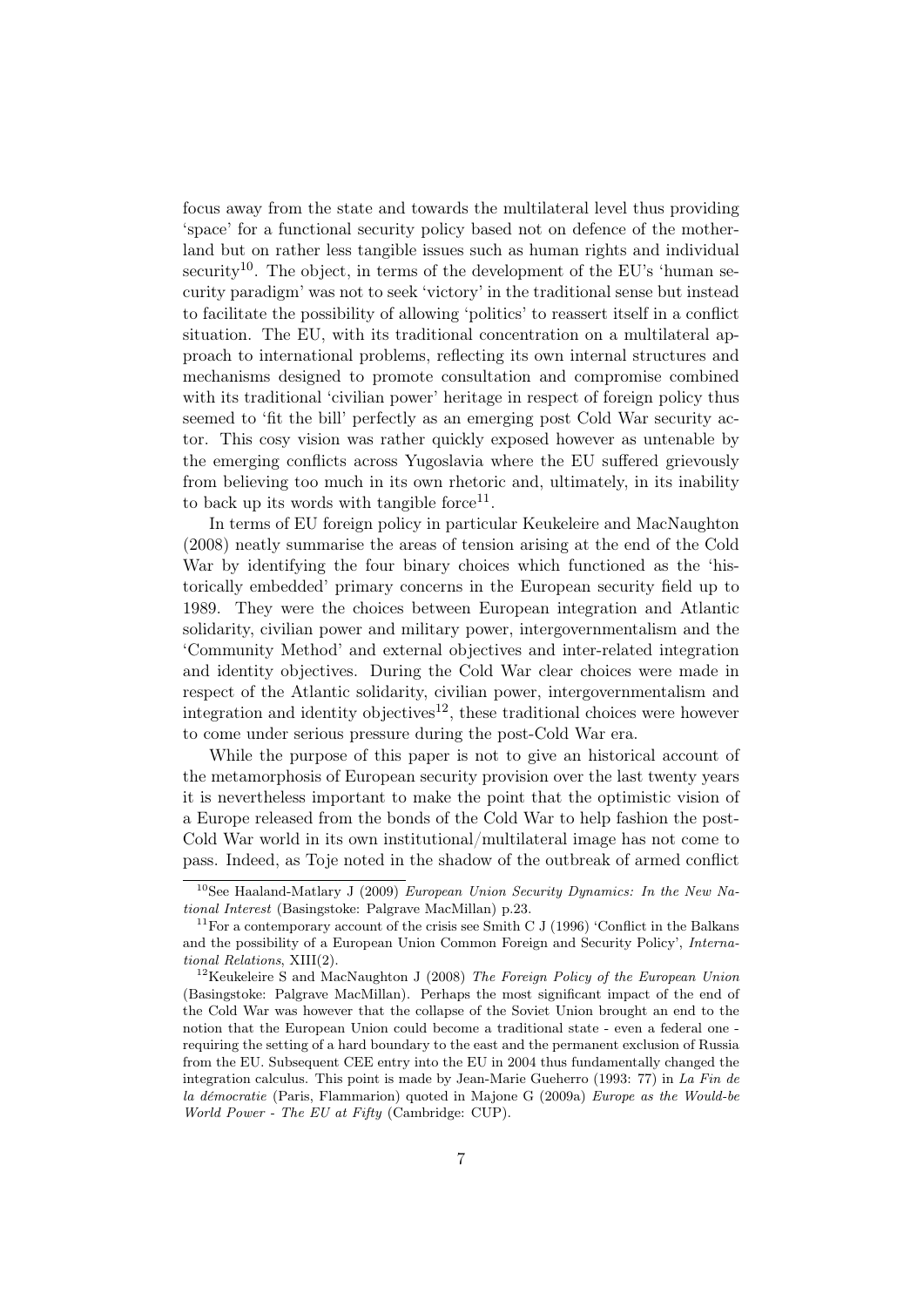focus away from the state and towards the multilateral level thus providing 'space' for a functional security policy based not on defence of the motherland but on rather less tangible issues such as human rights and individual security<sup>10</sup>. The object, in terms of the development of the EU's 'human security paradigm' was not to seek 'victory' in the traditional sense but instead to facilitate the possibility of allowing 'politics' to reassert itself in a conflict situation. The EU, with its traditional concentration on a multilateral approach to international problems, reflecting its own internal structures and mechanisms designed to promote consultation and compromise combined with its traditional 'civilian power' heritage in respect of foreign policy thus seemed to 'fit the bill' perfectly as an emerging post Cold War security actor. This cosy vision was rather quickly exposed however as untenable by the emerging conflicts across Yugoslavia where the EU suffered grievously from believing too much in its own rhetoric and, ultimately, in its inability to back up its words with tangible force<sup>11</sup>.

In terms of EU foreign policy in particular Keukeleire and MacNaughton (2008) neatly summarise the areas of tension arising at the end of the Cold War by identifying the four binary choices which functioned as the 'historically embedded' primary concerns in the European security field up to 1989. They were the choices between European integration and Atlantic solidarity, civilian power and military power, intergovernmentalism and the 'Community Method' and external objectives and inter-related integration and identity objectives. During the Cold War clear choices were made in respect of the Atlantic solidarity, civilian power, intergovernmentalism and integration and identity objectives<sup>12</sup>, these traditional choices were however to come under serious pressure during the post-Cold War era.

While the purpose of this paper is not to give an historical account of the metamorphosis of European security provision over the last twenty years it is nevertheless important to make the point that the optimistic vision of a Europe released from the bonds of the Cold War to help fashion the post-Cold War world in its own institutional/multilateral image has not come to pass. Indeed, as Toje noted in the shadow of the outbreak of armed conflict

<sup>&</sup>lt;sup>10</sup>See Haaland-Matlary J (2009) European Union Security Dynamics: In the New National Interest (Basingstoke: Palgrave MacMillan) p.23.

 $11$ For a contemporary account of the crisis see Smith C J (1996) 'Conflict in the Balkans and the possibility of a European Union Common Foreign and Security Policy', International Relations, XIII(2).

<sup>&</sup>lt;sup>12</sup>Keukeleire S and MacNaughton J (2008) The Foreign Policy of the European Union (Basingstoke: Palgrave MacMillan). Perhaps the most significant impact of the end of the Cold War was however that the collapse of the Soviet Union brought an end to the notion that the European Union could become a traditional state - even a federal one requiring the setting of a hard boundary to the east and the permanent exclusion of Russia from the EU. Subsequent CEE entry into the EU in 2004 thus fundamentally changed the integration calculus. This point is made by Jean-Marie Gueherro (1993: 77) in La Fin de la démocratie (Paris, Flammarion) quoted in Majone G (2009a) Europe as the Would-be World Power - The EU at Fifty (Cambridge: CUP).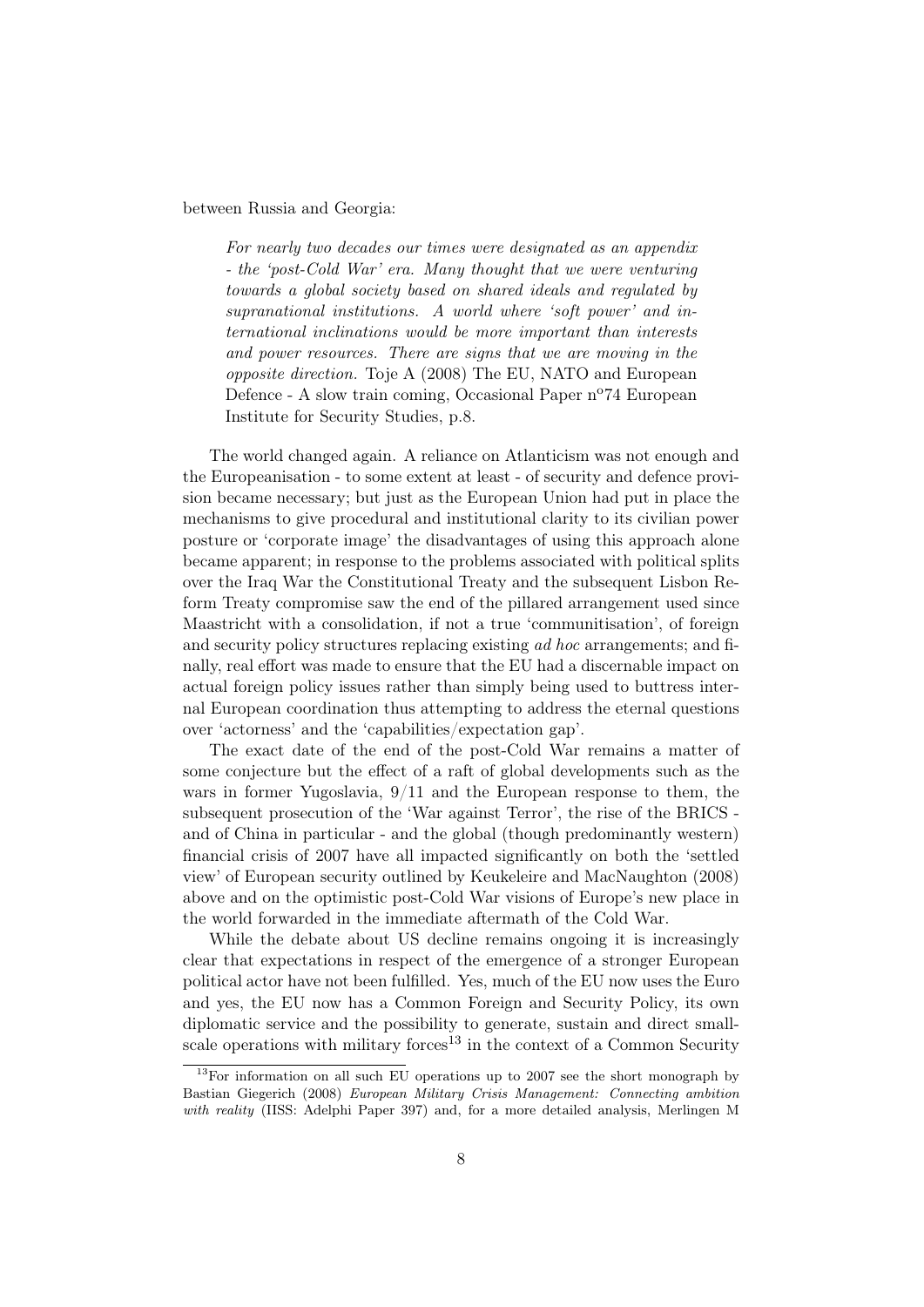#### between Russia and Georgia:

For nearly two decades our times were designated as an appendix - the 'post-Cold War' era. Many thought that we were venturing towards a global society based on shared ideals and regulated by supranational institutions. A world where 'soft power' and international inclinations would be more important than interests and power resources. There are signs that we are moving in the opposite direction. Toje A (2008) The EU, NATO and European Defence - A slow train coming, Occasional Paper n<sup>o</sup>74 European Institute for Security Studies, p.8.

The world changed again. A reliance on Atlanticism was not enough and the Europeanisation - to some extent at least - of security and defence provision became necessary; but just as the European Union had put in place the mechanisms to give procedural and institutional clarity to its civilian power posture or 'corporate image' the disadvantages of using this approach alone became apparent; in response to the problems associated with political splits over the Iraq War the Constitutional Treaty and the subsequent Lisbon Reform Treaty compromise saw the end of the pillared arrangement used since Maastricht with a consolidation, if not a true 'communitisation', of foreign and security policy structures replacing existing ad hoc arrangements; and finally, real effort was made to ensure that the EU had a discernable impact on actual foreign policy issues rather than simply being used to buttress internal European coordination thus attempting to address the eternal questions over 'actorness' and the 'capabilities/expectation gap'.

The exact date of the end of the post-Cold War remains a matter of some conjecture but the effect of a raft of global developments such as the wars in former Yugoslavia,  $9/11$  and the European response to them, the subsequent prosecution of the 'War against Terror', the rise of the BRICS and of China in particular - and the global (though predominantly western) financial crisis of 2007 have all impacted significantly on both the 'settled view' of European security outlined by Keukeleire and MacNaughton (2008) above and on the optimistic post-Cold War visions of Europe's new place in the world forwarded in the immediate aftermath of the Cold War.

While the debate about US decline remains ongoing it is increasingly clear that expectations in respect of the emergence of a stronger European political actor have not been fulfilled. Yes, much of the EU now uses the Euro and yes, the EU now has a Common Foreign and Security Policy, its own diplomatic service and the possibility to generate, sustain and direct smallscale operations with military forces<sup>13</sup> in the context of a Common Security

 $13$ For information on all such EU operations up to 2007 see the short monograph by Bastian Giegerich (2008) European Military Crisis Management: Connecting ambition with reality (IISS: Adelphi Paper 397) and, for a more detailed analysis, Merlingen M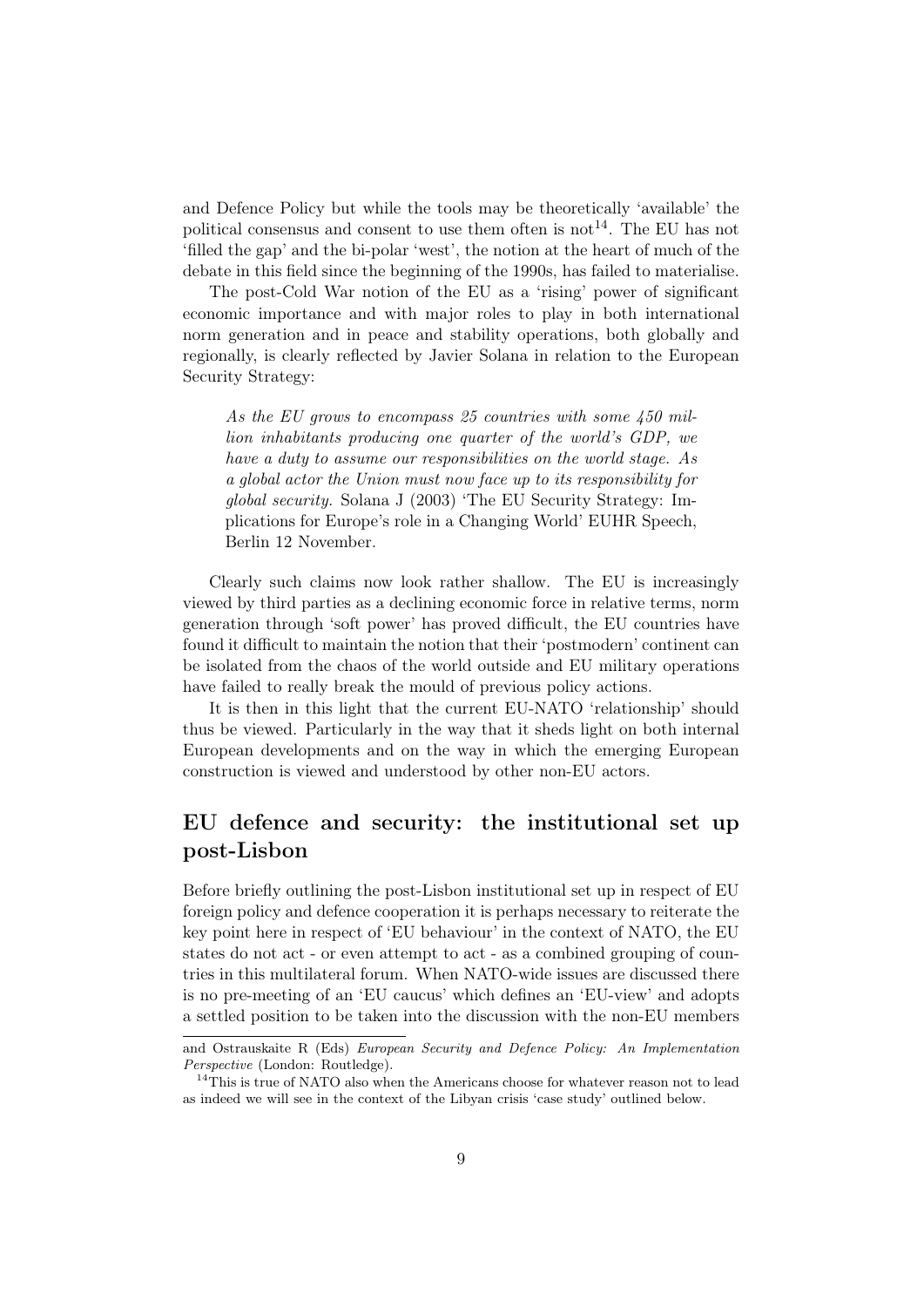and Defence Policy but while the tools may be theoretically 'available' the political consensus and consent to use them often is  $not<sup>14</sup>$ . The EU has not 'filled the gap' and the bi-polar 'west', the notion at the heart of much of the debate in this field since the beginning of the 1990s, has failed to materialise.

The post-Cold War notion of the EU as a 'rising' power of significant economic importance and with major roles to play in both international norm generation and in peace and stability operations, both globally and regionally, is clearly reflected by Javier Solana in relation to the European Security Strategy:

As the EU grows to encompass 25 countries with some 450 million inhabitants producing one quarter of the world's GDP, we have a duty to assume our responsibilities on the world stage. As a global actor the Union must now face up to its responsibility for global security. Solana J (2003) 'The EU Security Strategy: Implications for Europe's role in a Changing World' EUHR Speech, Berlin 12 November.

Clearly such claims now look rather shallow. The EU is increasingly viewed by third parties as a declining economic force in relative terms, norm generation through 'soft power' has proved difficult, the EU countries have found it difficult to maintain the notion that their 'postmodern' continent can be isolated from the chaos of the world outside and EU military operations have failed to really break the mould of previous policy actions.

It is then in this light that the current EU-NATO 'relationship' should thus be viewed. Particularly in the way that it sheds light on both internal European developments and on the way in which the emerging European construction is viewed and understood by other non-EU actors.

### EU defence and security: the institutional set up post-Lisbon

Before briefly outlining the post-Lisbon institutional set up in respect of EU foreign policy and defence cooperation it is perhaps necessary to reiterate the key point here in respect of 'EU behaviour' in the context of NATO, the EU states do not act - or even attempt to act - as a combined grouping of countries in this multilateral forum. When NATO-wide issues are discussed there is no pre-meeting of an 'EU caucus' which defines an 'EU-view' and adopts a settled position to be taken into the discussion with the non-EU members

and Ostrauskaite R (Eds) European Security and Defence Policy: An Implementation Perspective (London: Routledge).

<sup>&</sup>lt;sup>14</sup>This is true of NATO also when the Americans choose for whatever reason not to lead as indeed we will see in the context of the Libyan crisis 'case study' outlined below.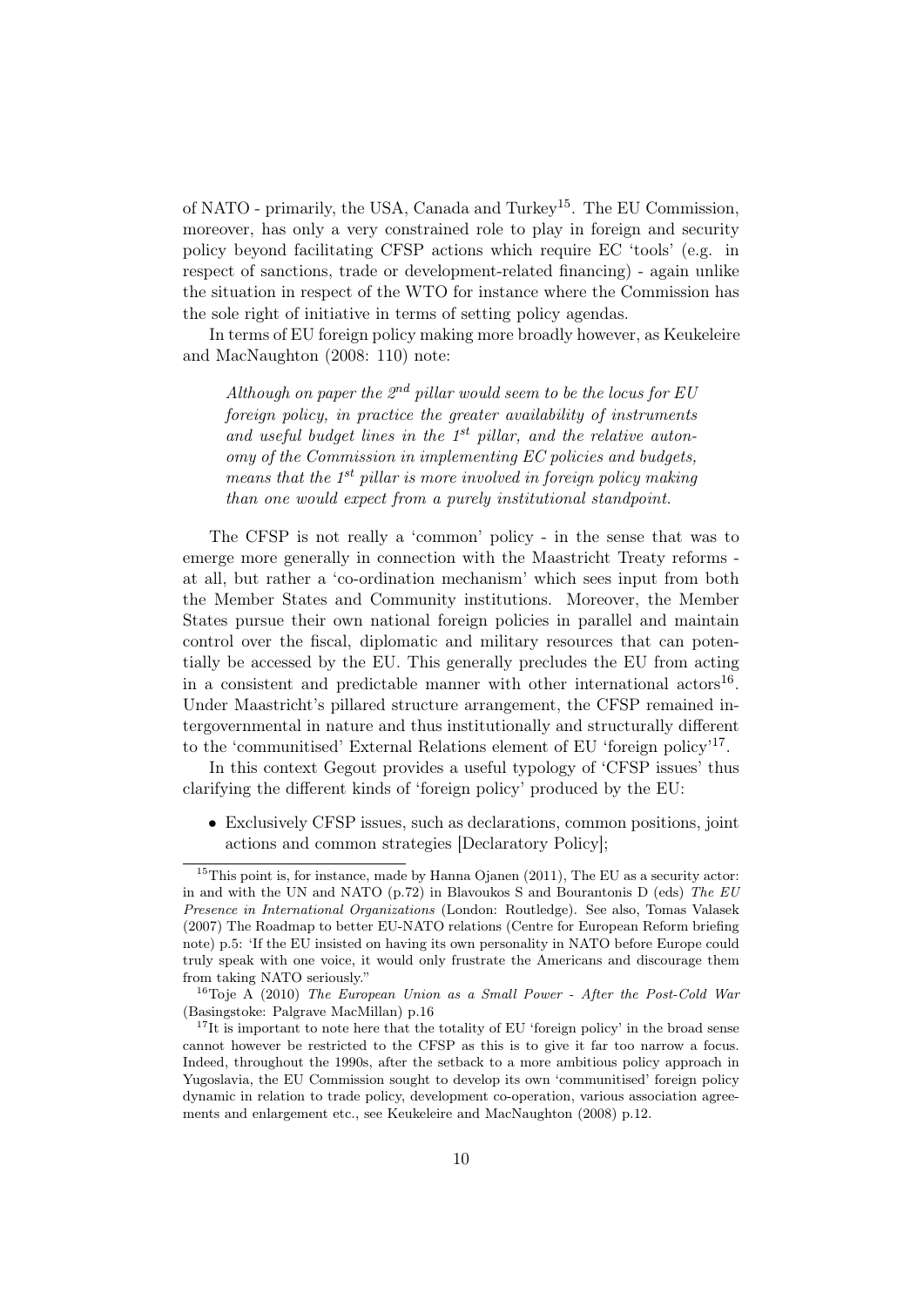of NATO - primarily, the USA, Canada and Turkey15. The EU Commission, moreover, has only a very constrained role to play in foreign and security policy beyond facilitating CFSP actions which require EC 'tools' (e.g. in respect of sanctions, trade or development-related financing) - again unlike the situation in respect of the WTO for instance where the Commission has the sole right of initiative in terms of setting policy agendas.

In terms of EU foreign policy making more broadly however, as Keukeleire and MacNaughton (2008: 110) note:

Although on paper the  $2^{nd}$  pillar would seem to be the locus for EU foreign policy, in practice the greater availability of instruments and useful budget lines in the  $1^{st}$  pillar, and the relative autonomy of the Commission in implementing EC policies and budgets, means that the  $1^{st}$  pillar is more involved in foreign policy making than one would expect from a purely institutional standpoint.

The CFSP is not really a 'common' policy - in the sense that was to emerge more generally in connection with the Maastricht Treaty reforms at all, but rather a 'co-ordination mechanism' which sees input from both the Member States and Community institutions. Moreover, the Member States pursue their own national foreign policies in parallel and maintain control over the fiscal, diplomatic and military resources that can potentially be accessed by the EU. This generally precludes the EU from acting in a consistent and predictable manner with other international  $\arccos^{16}$ . Under Maastricht's pillared structure arrangement, the CFSP remained intergovernmental in nature and thus institutionally and structurally different to the 'communitised' External Relations element of EU 'foreign policy'17 .

In this context Gegout provides a useful typology of 'CFSP issues' thus clarifying the different kinds of 'foreign policy' produced by the EU:

• Exclusively CFSP issues, such as declarations, common positions, joint actions and common strategies [Declaratory Policy];

 $15$ This point is, for instance, made by Hanna Ojanen (2011), The EU as a security actor: in and with the UN and NATO (p.72) in Blavoukos S and Bourantonis D (eds) The  $EU$ Presence in International Organizations (London: Routledge). See also, Tomas Valasek (2007) The Roadmap to better EU-NATO relations (Centre for European Reform briefing note) p.5: 'If the EU insisted on having its own personality in NATO before Europe could truly speak with one voice, it would only frustrate the Americans and discourage them from taking NATO seriously."

<sup>&</sup>lt;sup>16</sup>Toje A (2010) The European Union as a Small Power - After the Post-Cold War (Basingstoke: Palgrave MacMillan) p.16

<sup>&</sup>lt;sup>17</sup>It is important to note here that the totality of EU 'foreign policy' in the broad sense cannot however be restricted to the CFSP as this is to give it far too narrow a focus. Indeed, throughout the 1990s, after the setback to a more ambitious policy approach in Yugoslavia, the EU Commission sought to develop its own 'communitised' foreign policy dynamic in relation to trade policy, development co-operation, various association agreements and enlargement etc., see Keukeleire and MacNaughton (2008) p.12.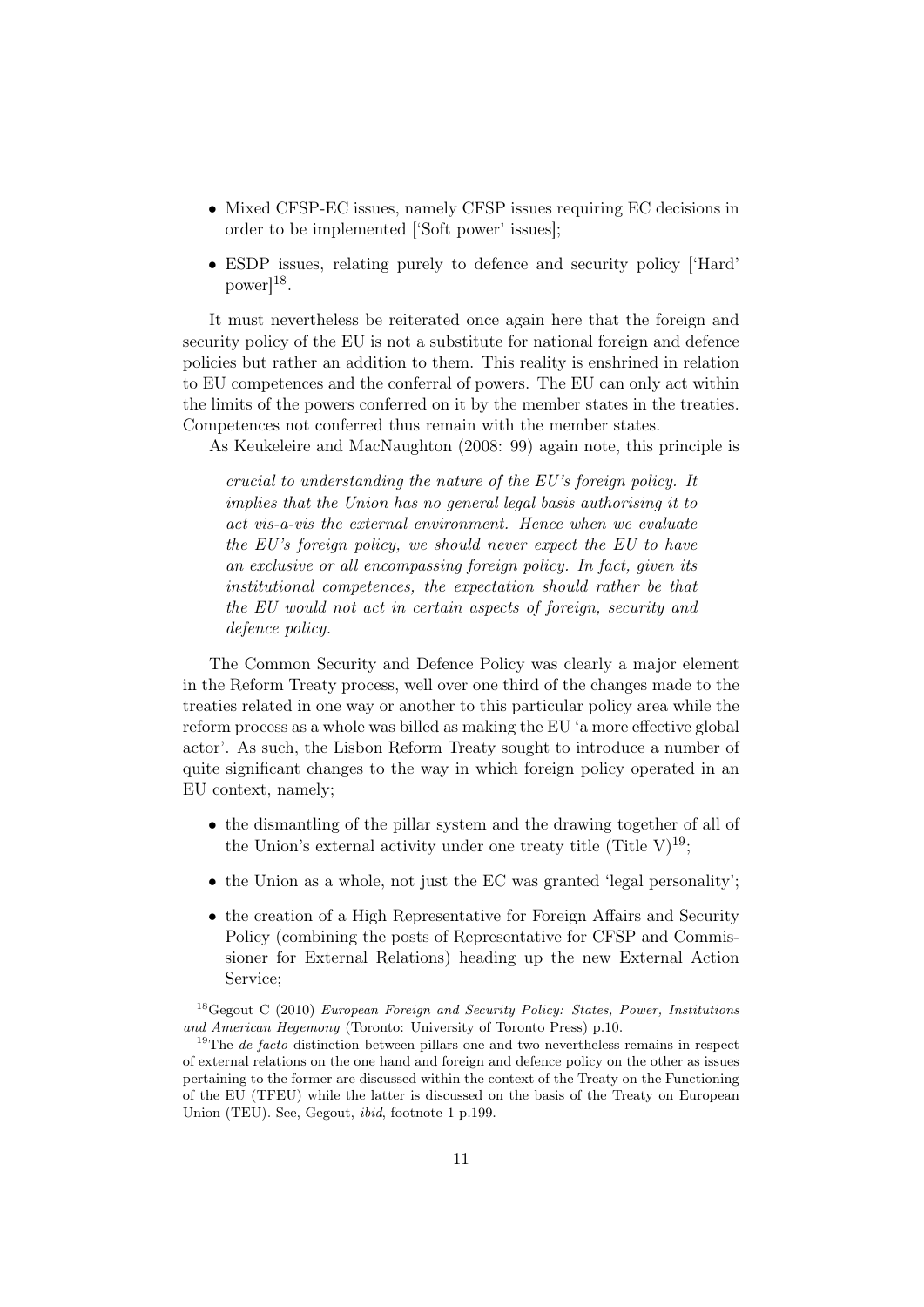- Mixed CFSP-EC issues, namely CFSP issues requiring EC decisions in order to be implemented ['Soft power' issues];
- ESDP issues, relating purely to defence and security policy ['Hard'  $power]^{18}$ .

It must nevertheless be reiterated once again here that the foreign and security policy of the EU is not a substitute for national foreign and defence policies but rather an addition to them. This reality is enshrined in relation to EU competences and the conferral of powers. The EU can only act within the limits of the powers conferred on it by the member states in the treaties. Competences not conferred thus remain with the member states.

As Keukeleire and MacNaughton (2008: 99) again note, this principle is

crucial to understanding the nature of the EU's foreign policy. It implies that the Union has no general legal basis authorising it to act vis-a-vis the external environment. Hence when we evaluate the EU's foreign policy, we should never expect the EU to have an exclusive or all encompassing foreign policy. In fact, given its institutional competences, the expectation should rather be that the EU would not act in certain aspects of foreign, security and defence policy.

The Common Security and Defence Policy was clearly a major element in the Reform Treaty process, well over one third of the changes made to the treaties related in one way or another to this particular policy area while the reform process as a whole was billed as making the EU 'a more effective global actor'. As such, the Lisbon Reform Treaty sought to introduce a number of quite significant changes to the way in which foreign policy operated in an EU context, namely;

- the dismantling of the pillar system and the drawing together of all of the Union's external activity under one treaty title (Title V)<sup>19</sup>;
- the Union as a whole, not just the EC was granted 'legal personality';
- the creation of a High Representative for Foreign Affairs and Security Policy (combining the posts of Representative for CFSP and Commissioner for External Relations) heading up the new External Action Service;

 $18$ Gegout C (2010) European Foreign and Security Policy: States, Power, Institutions and American Hegemony (Toronto: University of Toronto Press) p.10.

 $19$ The *de facto* distinction between pillars one and two nevertheless remains in respect of external relations on the one hand and foreign and defence policy on the other as issues pertaining to the former are discussed within the context of the Treaty on the Functioning of the EU (TFEU) while the latter is discussed on the basis of the Treaty on European Union (TEU). See, Gegout, ibid, footnote 1 p.199.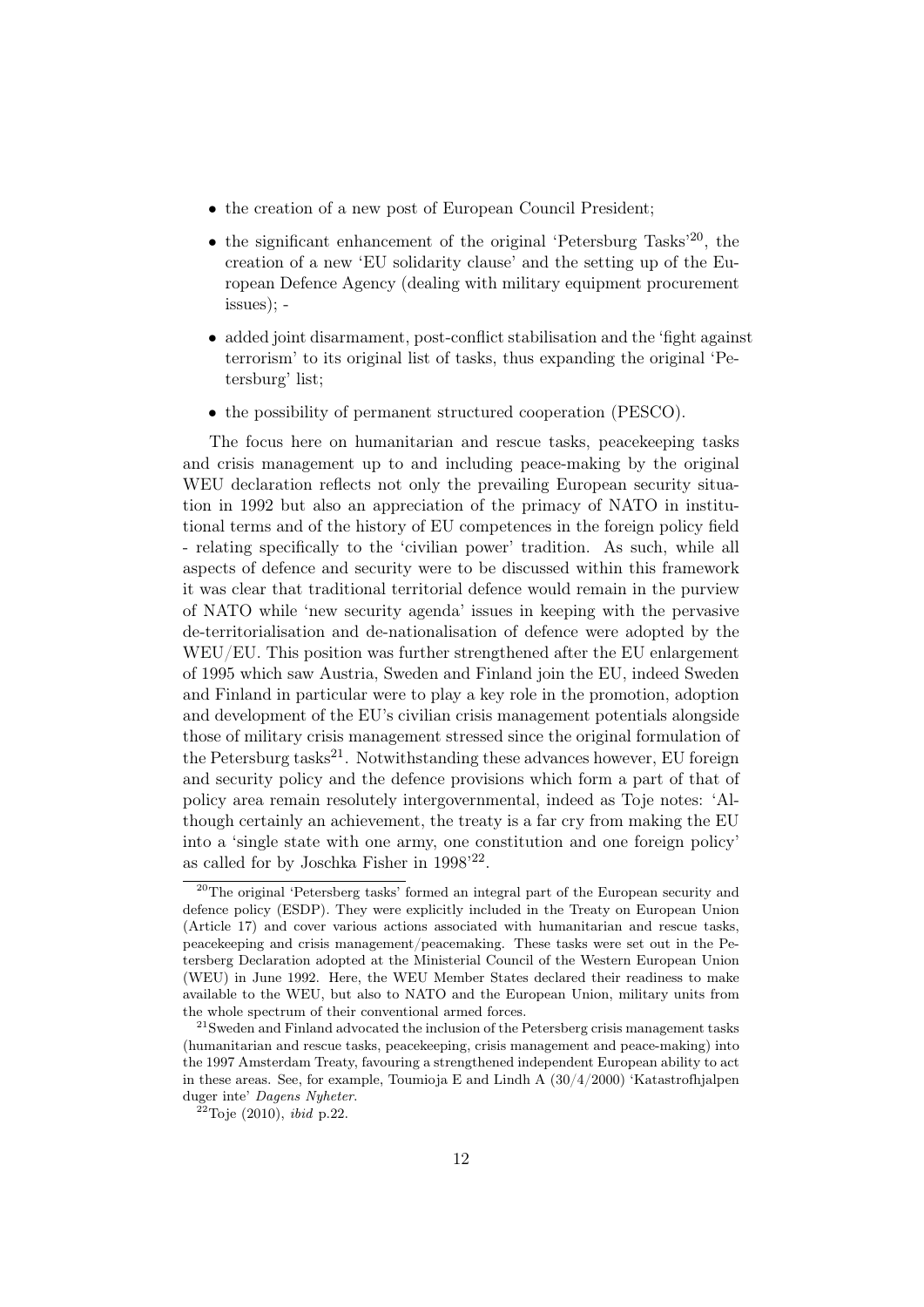- the creation of a new post of European Council President;
- the significant enhancement of the original 'Petersburg Tasks'<sup>20</sup>, the creation of a new 'EU solidarity clause' and the setting up of the European Defence Agency (dealing with military equipment procurement issues); -
- added joint disarmament, post-conflict stabilisation and the 'fight against terrorism' to its original list of tasks, thus expanding the original 'Petersburg' list;
- the possibility of permanent structured cooperation (PESCO).

The focus here on humanitarian and rescue tasks, peacekeeping tasks and crisis management up to and including peace-making by the original WEU declaration reflects not only the prevailing European security situation in 1992 but also an appreciation of the primacy of NATO in institutional terms and of the history of EU competences in the foreign policy field - relating specifically to the 'civilian power' tradition. As such, while all aspects of defence and security were to be discussed within this framework it was clear that traditional territorial defence would remain in the purview of NATO while 'new security agenda' issues in keeping with the pervasive de-territorialisation and de-nationalisation of defence were adopted by the WEU/EU. This position was further strengthened after the EU enlargement of 1995 which saw Austria, Sweden and Finland join the EU, indeed Sweden and Finland in particular were to play a key role in the promotion, adoption and development of the EU's civilian crisis management potentials alongside those of military crisis management stressed since the original formulation of the Petersburg tasks<sup>21</sup>. Notwithstanding these advances however, EU foreign and security policy and the defence provisions which form a part of that of policy area remain resolutely intergovernmental, indeed as Toje notes: 'Although certainly an achievement, the treaty is a far cry from making the EU into a 'single state with one army, one constitution and one foreign policy' as called for by Joschka Fisher in 1998'22 .

<sup>20</sup>The original 'Petersberg tasks' formed an integral part of the European security and defence policy (ESDP). They were explicitly included in the Treaty on European Union (Article 17) and cover various actions associated with humanitarian and rescue tasks, peacekeeping and crisis management/peacemaking. These tasks were set out in the Petersberg Declaration adopted at the Ministerial Council of the Western European Union (WEU) in June 1992. Here, the WEU Member States declared their readiness to make available to the WEU, but also to NATO and the European Union, military units from the whole spectrum of their conventional armed forces.

 $21$ Sweden and Finland advocated the inclusion of the Petersberg crisis management tasks (humanitarian and rescue tasks, peacekeeping, crisis management and peace-making) into the 1997 Amsterdam Treaty, favouring a strengthened independent European ability to act in these areas. See, for example, Toumioja E and Lindh A  $(30/4/2000)$  'Katastrofhjalpen duger inte' Dagens Nyheter.

 $^{22}$ Toje (2010), *ibid* p.22.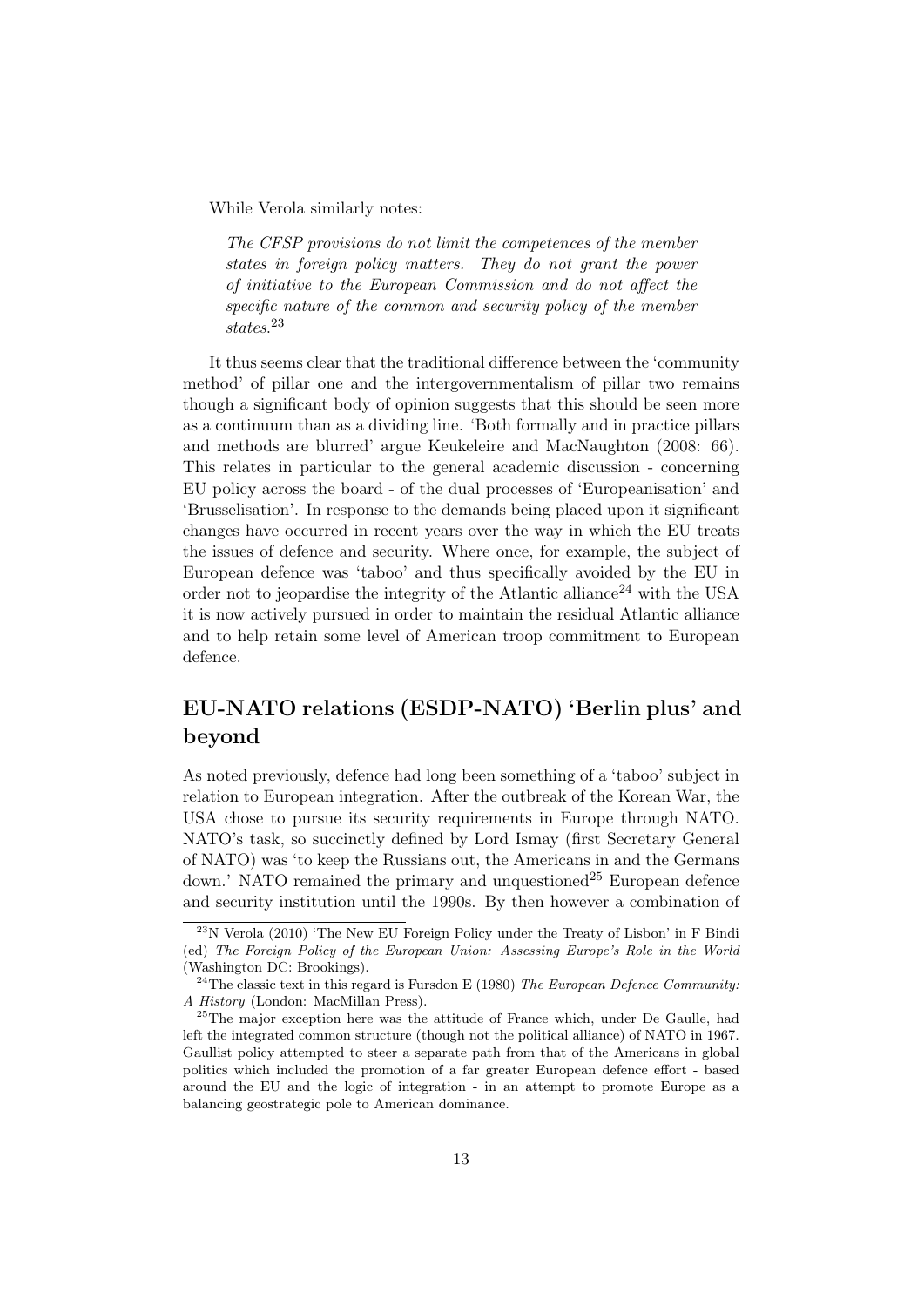While Verola similarly notes:

The CFSP provisions do not limit the competences of the member states in foreign policy matters. They do not grant the power of initiative to the European Commission and do not affect the specific nature of the common and security policy of the member states. 23

It thus seems clear that the traditional difference between the 'community method' of pillar one and the intergovernmentalism of pillar two remains though a significant body of opinion suggests that this should be seen more as a continuum than as a dividing line. 'Both formally and in practice pillars and methods are blurred' argue Keukeleire and MacNaughton (2008: 66). This relates in particular to the general academic discussion - concerning EU policy across the board - of the dual processes of 'Europeanisation' and 'Brusselisation'. In response to the demands being placed upon it significant changes have occurred in recent years over the way in which the EU treats the issues of defence and security. Where once, for example, the subject of European defence was 'taboo' and thus specifically avoided by the EU in order not to jeopardise the integrity of the Atlantic alliance<sup>24</sup> with the USA it is now actively pursued in order to maintain the residual Atlantic alliance and to help retain some level of American troop commitment to European defence.

# EU-NATO relations (ESDP-NATO) 'Berlin plus' and beyond

As noted previously, defence had long been something of a 'taboo' subject in relation to European integration. After the outbreak of the Korean War, the USA chose to pursue its security requirements in Europe through NATO. NATO's task, so succinctly defined by Lord Ismay (first Secretary General of NATO) was 'to keep the Russians out, the Americans in and the Germans down.' NATO remained the primary and unquestioned<sup>25</sup> European defence and security institution until the 1990s. By then however a combination of

<sup>23</sup>N Verola (2010) 'The New EU Foreign Policy under the Treaty of Lisbon' in F Bindi (ed) The Foreign Policy of the European Union: Assessing Europe's Role in the World (Washington DC: Brookings).

 $24$ The classic text in this regard is Fursdon E (1980) The European Defence Community: A History (London: MacMillan Press).

<sup>&</sup>lt;sup>25</sup>The major exception here was the attitude of France which, under De Gaulle, had left the integrated common structure (though not the political alliance) of NATO in 1967. Gaullist policy attempted to steer a separate path from that of the Americans in global politics which included the promotion of a far greater European defence effort - based around the EU and the logic of integration - in an attempt to promote Europe as a balancing geostrategic pole to American dominance.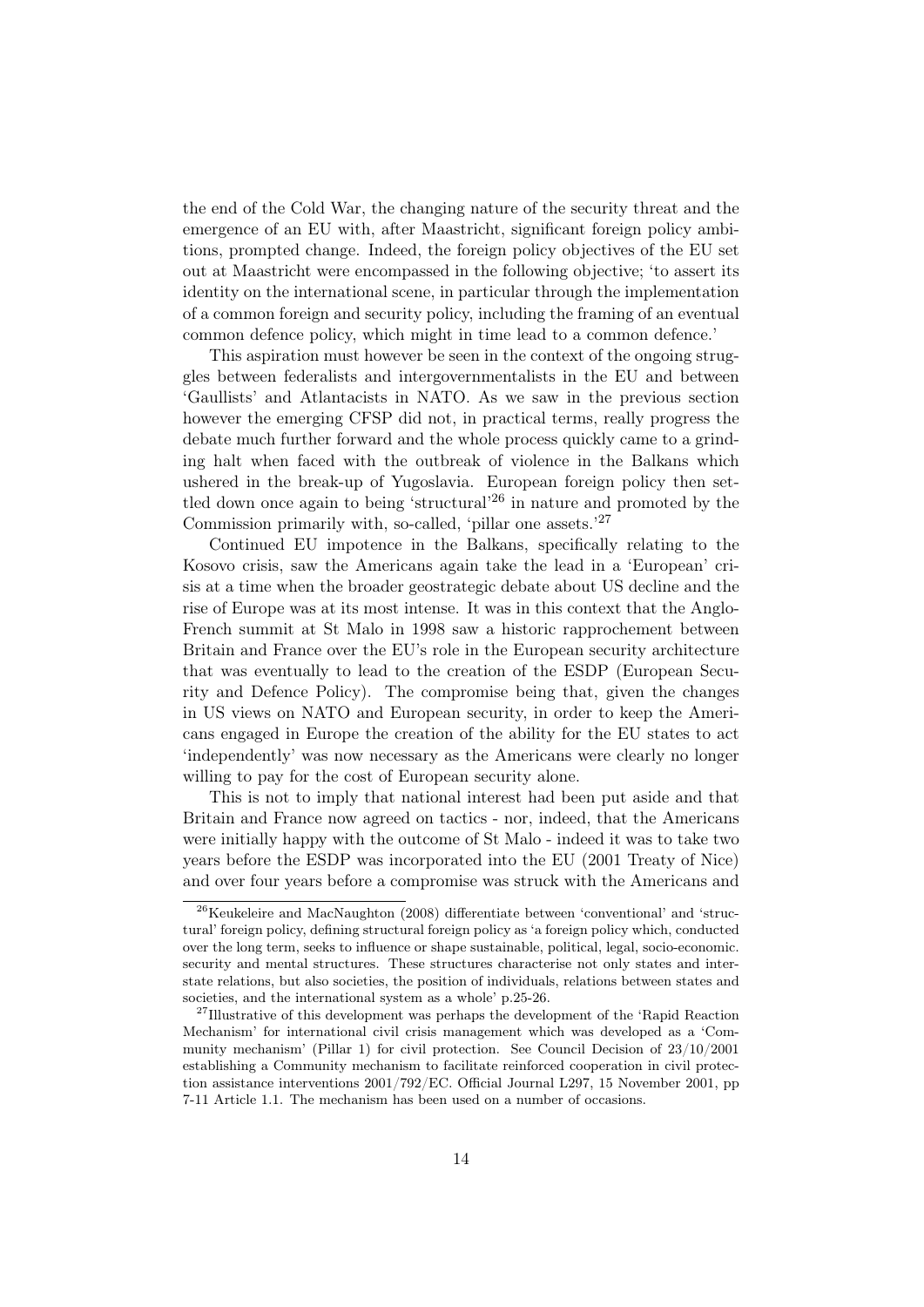the end of the Cold War, the changing nature of the security threat and the emergence of an EU with, after Maastricht, significant foreign policy ambitions, prompted change. Indeed, the foreign policy objectives of the EU set out at Maastricht were encompassed in the following objective; 'to assert its identity on the international scene, in particular through the implementation of a common foreign and security policy, including the framing of an eventual common defence policy, which might in time lead to a common defence.'

This aspiration must however be seen in the context of the ongoing struggles between federalists and intergovernmentalists in the EU and between 'Gaullists' and Atlantacists in NATO. As we saw in the previous section however the emerging CFSP did not, in practical terms, really progress the debate much further forward and the whole process quickly came to a grinding halt when faced with the outbreak of violence in the Balkans which ushered in the break-up of Yugoslavia. European foreign policy then settled down once again to being 'structural'26 in nature and promoted by the Commission primarily with, so-called, 'pillar one assets.'27

Continued EU impotence in the Balkans, specifically relating to the Kosovo crisis, saw the Americans again take the lead in a 'European' crisis at a time when the broader geostrategic debate about US decline and the rise of Europe was at its most intense. It was in this context that the Anglo-French summit at St Malo in 1998 saw a historic rapprochement between Britain and France over the EU's role in the European security architecture that was eventually to lead to the creation of the ESDP (European Security and Defence Policy). The compromise being that, given the changes in US views on NATO and European security, in order to keep the Americans engaged in Europe the creation of the ability for the EU states to act 'independently' was now necessary as the Americans were clearly no longer willing to pay for the cost of European security alone.

This is not to imply that national interest had been put aside and that Britain and France now agreed on tactics - nor, indeed, that the Americans were initially happy with the outcome of St Malo - indeed it was to take two years before the ESDP was incorporated into the EU (2001 Treaty of Nice) and over four years before a compromise was struck with the Americans and

<sup>26</sup>Keukeleire and MacNaughton (2008) differentiate between 'conventional' and 'structural' foreign policy, defining structural foreign policy as 'a foreign policy which, conducted over the long term, seeks to influence or shape sustainable, political, legal, socio-economic. security and mental structures. These structures characterise not only states and interstate relations, but also societies, the position of individuals, relations between states and societies, and the international system as a whole' p.25-26.

<sup>&</sup>lt;sup>27</sup>Illustrative of this development was perhaps the development of the 'Rapid Reaction Mechanism' for international civil crisis management which was developed as a 'Community mechanism' (Pillar 1) for civil protection. See Council Decision of 23/10/2001 establishing a Community mechanism to facilitate reinforced cooperation in civil protection assistance interventions 2001/792/EC. Official Journal L297, 15 November 2001, pp 7-11 Article 1.1. The mechanism has been used on a number of occasions.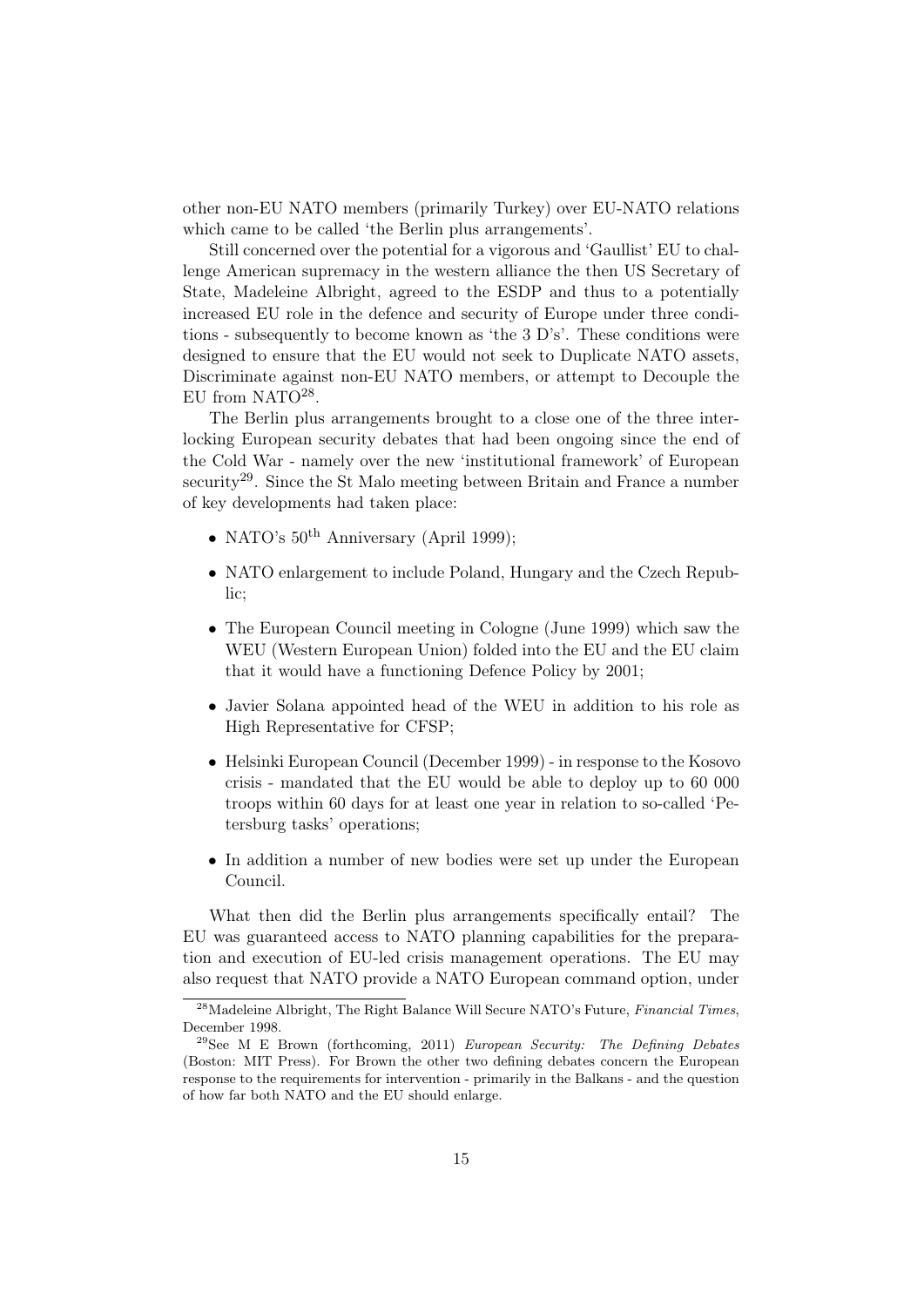other non-EU NATO members (primarily Turkey) over EU-NATO relations which came to be called 'the Berlin plus arrangements'.

Still concerned over the potential for a vigorous and 'Gaullist' EU to challenge American supremacy in the western alliance the then US Secretary of State, Madeleine Albright, agreed to the ESDP and thus to a potentially increased EU role in the defence and security of Europe under three conditions - subsequently to become known as 'the 3 D's'. These conditions were designed to ensure that the EU would not seek to Duplicate NATO assets, Discriminate against non-EU NATO members, or attempt to Decouple the EU from NATO<sup>28</sup>.

The Berlin plus arrangements brought to a close one of the three interlocking European security debates that had been ongoing since the end of the Cold War - namely over the new 'institutional framework' of European security<sup>29</sup>. Since the St Malo meeting between Britain and France a number of key developments had taken place:

- NATO's  $50^{th}$  Anniversary (April 1999);
- NATO enlargement to include Poland, Hungary and the Czech Republic;
- The European Council meeting in Cologne (June 1999) which saw the WEU (Western European Union) folded into the EU and the EU claim that it would have a functioning Defence Policy by 2001;
- Javier Solana appointed head of the WEU in addition to his role as High Representative for CFSP;
- Helsinki European Council (December 1999) in response to the Kosovo crisis - mandated that the EU would be able to deploy up to 60 000 troops within 60 days for at least one year in relation to so-called 'Petersburg tasks' operations;
- In addition a number of new bodies were set up under the European Council.

What then did the Berlin plus arrangements specifically entail? The EU was guaranteed access to NATO planning capabilities for the preparation and execution of EU-led crisis management operations. The EU may also request that NATO provide a NATO European command option, under

<sup>&</sup>lt;sup>28</sup>Madeleine Albright, The Right Balance Will Secure NATO's Future, Financial Times, December 1998.

<sup>29</sup>See M E Brown (forthcoming, 2011) European Security: The Defining Debates (Boston: MIT Press). For Brown the other two defining debates concern the European response to the requirements for intervention - primarily in the Balkans - and the question of how far both NATO and the EU should enlarge.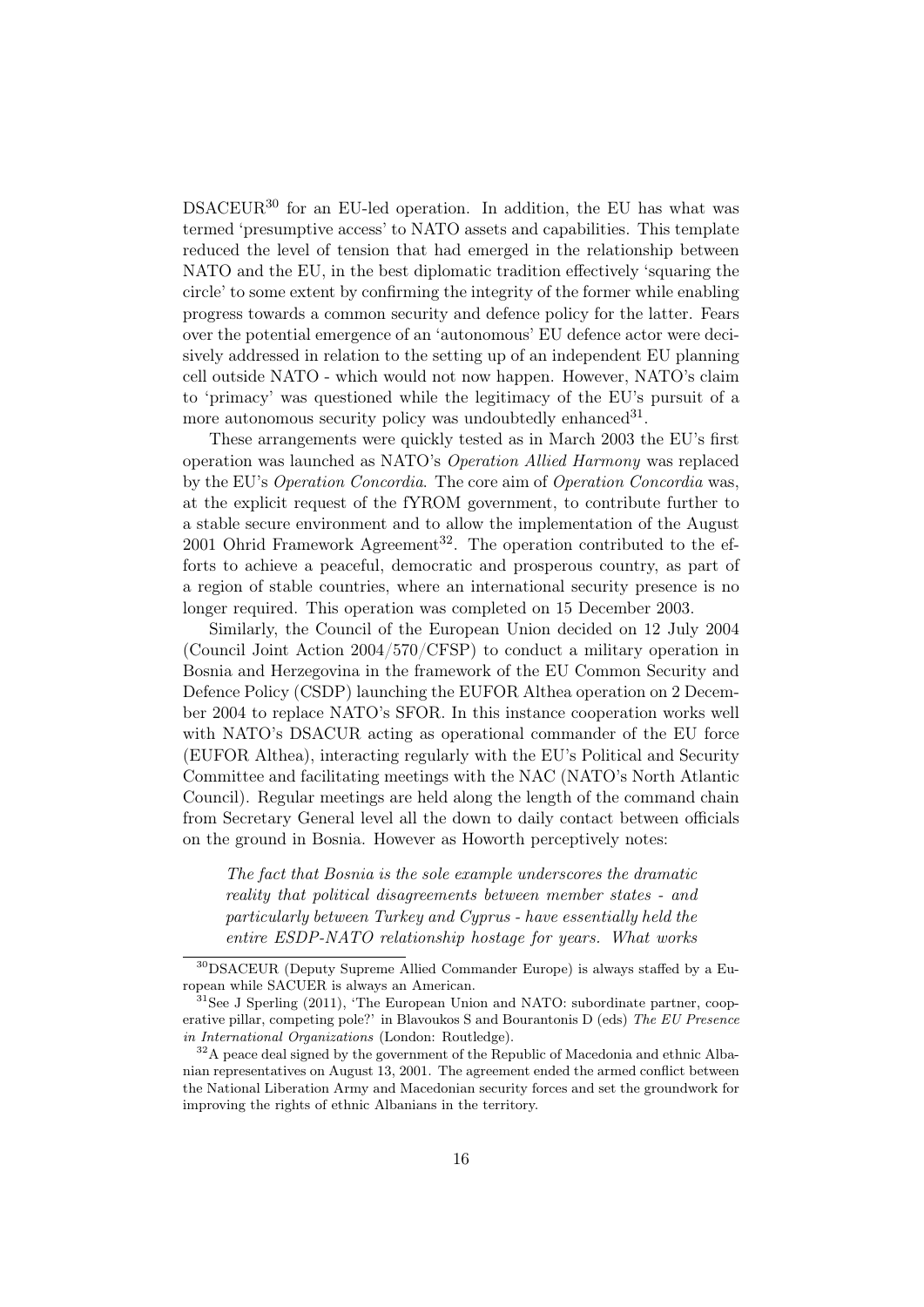DSACEUR30 for an EU-led operation. In addition, the EU has what was termed 'presumptive access' to NATO assets and capabilities. This template reduced the level of tension that had emerged in the relationship between NATO and the EU, in the best diplomatic tradition effectively 'squaring the circle' to some extent by confirming the integrity of the former while enabling progress towards a common security and defence policy for the latter. Fears over the potential emergence of an 'autonomous' EU defence actor were decisively addressed in relation to the setting up of an independent EU planning cell outside NATO - which would not now happen. However, NATO's claim to 'primacy' was questioned while the legitimacy of the EU's pursuit of a more autonomous security policy was undoubtedly enhanced  $31$ .

These arrangements were quickly tested as in March 2003 the EU's first operation was launched as NATO's Operation Allied Harmony was replaced by the EU's Operation Concordia. The core aim of Operation Concordia was, at the explicit request of the fYROM government, to contribute further to a stable secure environment and to allow the implementation of the August 2001 Ohrid Framework Agreement<sup>32</sup>. The operation contributed to the efforts to achieve a peaceful, democratic and prosperous country, as part of a region of stable countries, where an international security presence is no longer required. This operation was completed on 15 December 2003.

Similarly, the Council of the European Union decided on 12 July 2004 (Council Joint Action 2004/570/CFSP) to conduct a military operation in Bosnia and Herzegovina in the framework of the EU Common Security and Defence Policy (CSDP) launching the EUFOR Althea operation on 2 December 2004 to replace NATO's SFOR. In this instance cooperation works well with NATO's DSACUR acting as operational commander of the EU force (EUFOR Althea), interacting regularly with the EU's Political and Security Committee and facilitating meetings with the NAC (NATO's North Atlantic Council). Regular meetings are held along the length of the command chain from Secretary General level all the down to daily contact between officials on the ground in Bosnia. However as Howorth perceptively notes:

The fact that Bosnia is the sole example underscores the dramatic reality that political disagreements between member states - and particularly between Turkey and Cyprus - have essentially held the entire ESDP-NATO relationship hostage for years. What works

<sup>30</sup>DSACEUR (Deputy Supreme Allied Commander Europe) is always staffed by a European while SACUER is always an American.

 $31$ See J Sperling (2011), 'The European Union and NATO: subordinate partner, cooperative pillar, competing pole?' in Blavoukos S and Bourantonis D (eds) The EU Presence in International Organizations (London: Routledge).

<sup>&</sup>lt;sup>32</sup>A peace deal signed by the government of the Republic of Macedonia and ethnic Albanian representatives on August 13, 2001. The agreement ended the armed conflict between the National Liberation Army and Macedonian security forces and set the groundwork for improving the rights of ethnic Albanians in the territory.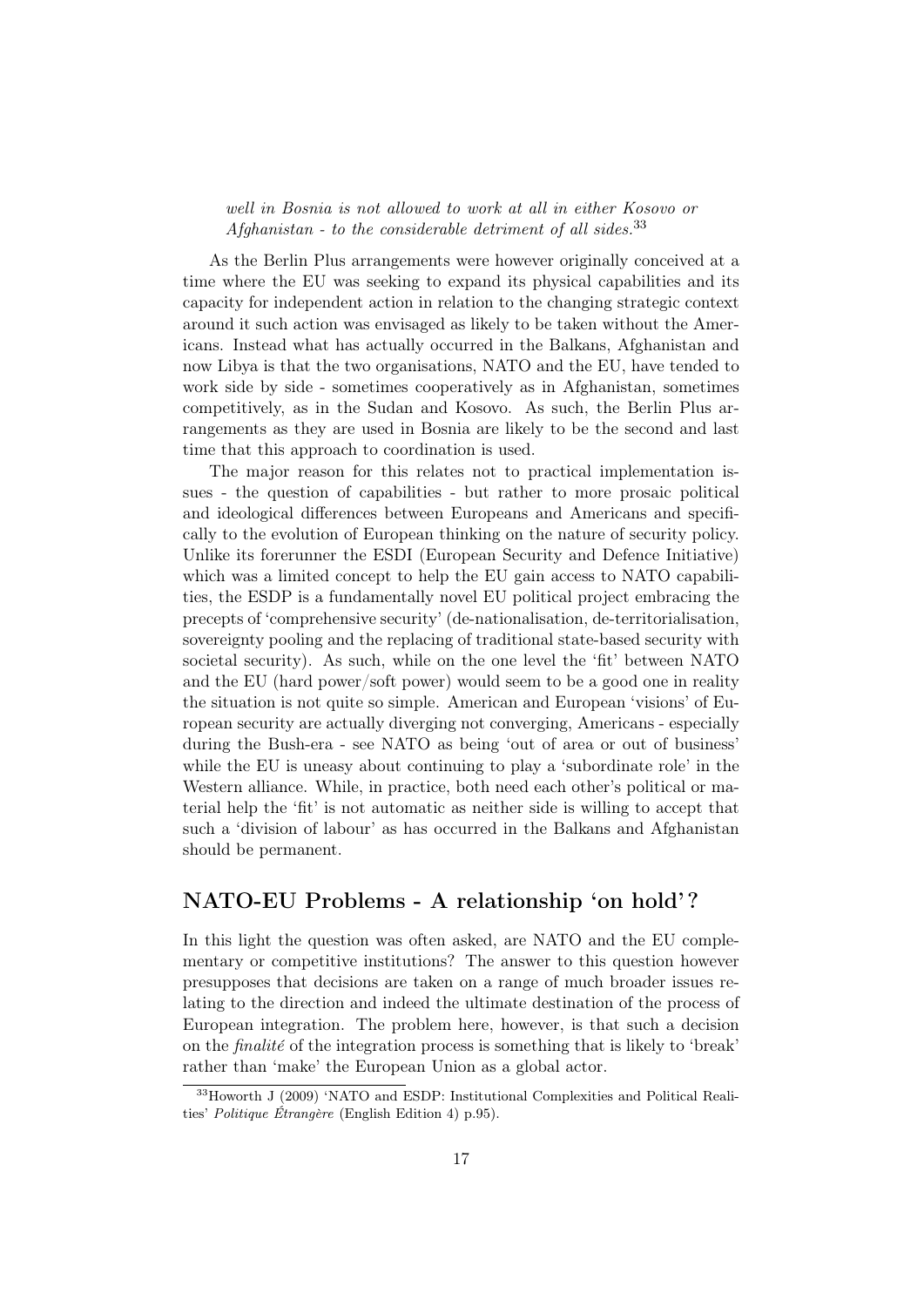#### well in Bosnia is not allowed to work at all in either Kosovo or Afghanistan - to the considerable detriment of all sides.  $33$

As the Berlin Plus arrangements were however originally conceived at a time where the EU was seeking to expand its physical capabilities and its capacity for independent action in relation to the changing strategic context around it such action was envisaged as likely to be taken without the Americans. Instead what has actually occurred in the Balkans, Afghanistan and now Libya is that the two organisations, NATO and the EU, have tended to work side by side - sometimes cooperatively as in Afghanistan, sometimes competitively, as in the Sudan and Kosovo. As such, the Berlin Plus arrangements as they are used in Bosnia are likely to be the second and last time that this approach to coordination is used.

The major reason for this relates not to practical implementation issues - the question of capabilities - but rather to more prosaic political and ideological differences between Europeans and Americans and specifically to the evolution of European thinking on the nature of security policy. Unlike its forerunner the ESDI (European Security and Defence Initiative) which was a limited concept to help the EU gain access to NATO capabilities, the ESDP is a fundamentally novel EU political project embracing the precepts of 'comprehensive security' (de-nationalisation, de-territorialisation, sovereignty pooling and the replacing of traditional state-based security with societal security). As such, while on the one level the 'fit' between NATO and the EU (hard power/soft power) would seem to be a good one in reality the situation is not quite so simple. American and European 'visions' of European security are actually diverging not converging, Americans - especially during the Bush-era - see NATO as being 'out of area or out of business' while the EU is uneasy about continuing to play a 'subordinate role' in the Western alliance. While, in practice, both need each other's political or material help the 'fit' is not automatic as neither side is willing to accept that such a 'division of labour' as has occurred in the Balkans and Afghanistan should be permanent.

### NATO-EU Problems - A relationship 'on hold' ?

In this light the question was often asked, are NATO and the EU complementary or competitive institutions? The answer to this question however presupposes that decisions are taken on a range of much broader issues relating to the direction and indeed the ultimate destination of the process of European integration. The problem here, however, is that such a decision on the finalité of the integration process is something that is likely to 'break' rather than 'make' the European Union as a global actor.

<sup>&</sup>lt;sup>33</sup>Howorth J (2009) 'NATO and ESDP: Institutional Complexities and Political Realities' Politique Étrangère (English Edition 4) p.95).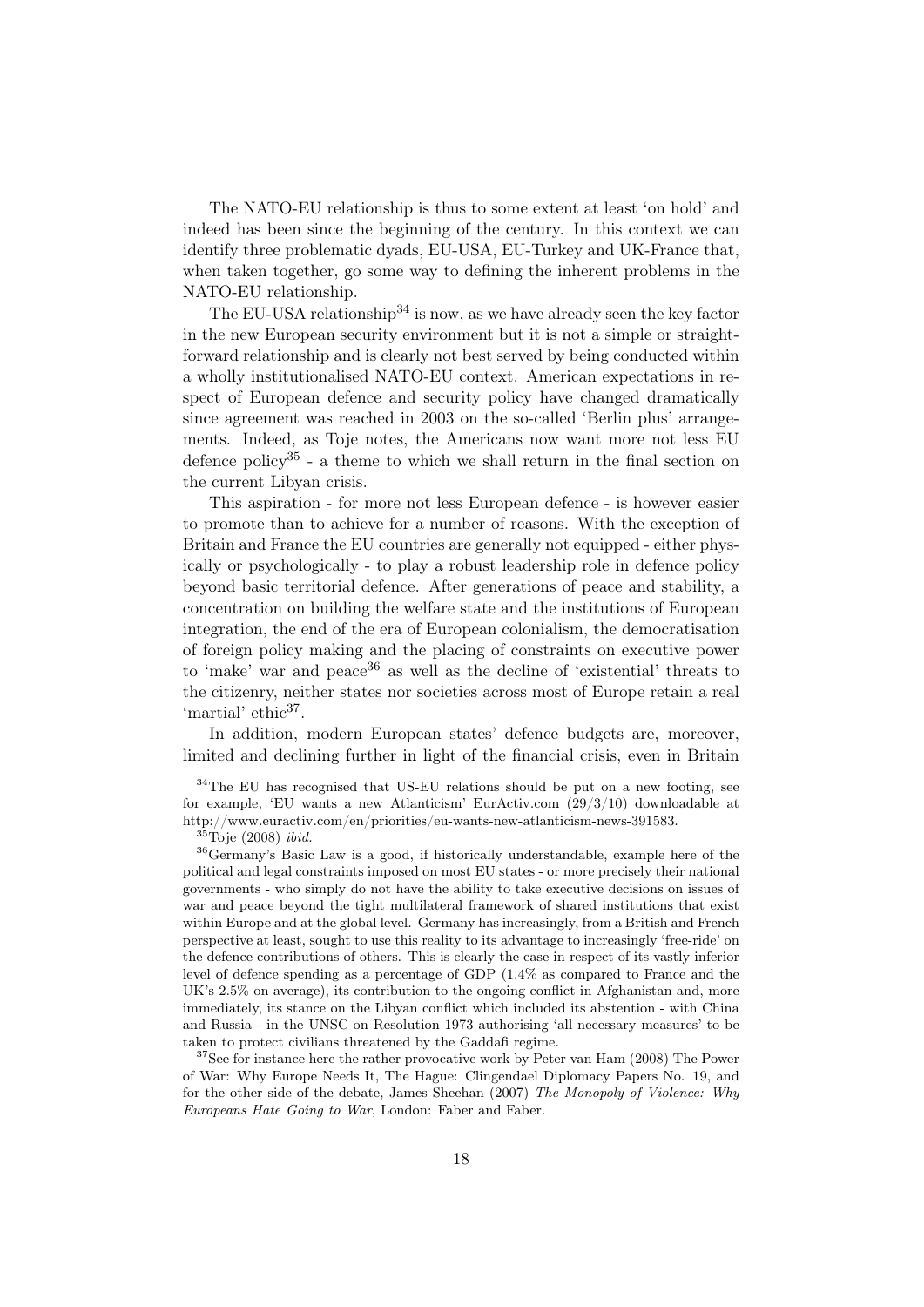The NATO-EU relationship is thus to some extent at least 'on hold' and indeed has been since the beginning of the century. In this context we can identify three problematic dyads, EU-USA, EU-Turkey and UK-France that, when taken together, go some way to defining the inherent problems in the NATO-EU relationship.

The EU-USA relationship<sup>34</sup> is now, as we have already seen the key factor in the new European security environment but it is not a simple or straightforward relationship and is clearly not best served by being conducted within a wholly institutionalised NATO-EU context. American expectations in respect of European defence and security policy have changed dramatically since agreement was reached in 2003 on the so-called 'Berlin plus' arrangements. Indeed, as Toje notes, the Americans now want more not less EU defence policy<sup>35</sup> - a theme to which we shall return in the final section on the current Libyan crisis.

This aspiration - for more not less European defence - is however easier to promote than to achieve for a number of reasons. With the exception of Britain and France the EU countries are generally not equipped - either physically or psychologically - to play a robust leadership role in defence policy beyond basic territorial defence. After generations of peace and stability, a concentration on building the welfare state and the institutions of European integration, the end of the era of European colonialism, the democratisation of foreign policy making and the placing of constraints on executive power to 'make' war and peace  $36$  as well as the decline of 'existential' threats to the citizenry, neither states nor societies across most of Europe retain a real 'martial' ethic<sup>37</sup>.

In addition, modern European states' defence budgets are, moreover, limited and declining further in light of the financial crisis, even in Britain

<sup>&</sup>lt;sup>34</sup>The EU has recognised that US-EU relations should be put on a new footing, see for example, 'EU wants a new Atlanticism' EurActiv.com (29/3/10) downloadable at http://www.euractiv.com/en/priorities/eu-wants-new-atlanticism-news-391583.

 $35$ Toje (2008) ibid.

<sup>36</sup>Germany's Basic Law is a good, if historically understandable, example here of the political and legal constraints imposed on most EU states - or more precisely their national governments - who simply do not have the ability to take executive decisions on issues of war and peace beyond the tight multilateral framework of shared institutions that exist within Europe and at the global level. Germany has increasingly, from a British and French perspective at least, sought to use this reality to its advantage to increasingly 'free-ride' on the defence contributions of others. This is clearly the case in respect of its vastly inferior level of defence spending as a percentage of GDP (1.4% as compared to France and the UK's 2.5% on average), its contribution to the ongoing conflict in Afghanistan and, more immediately, its stance on the Libyan conflict which included its abstention - with China and Russia - in the UNSC on Resolution 1973 authorising 'all necessary measures' to be taken to protect civilians threatened by the Gaddafi regime.

<sup>&</sup>lt;sup>37</sup>See for instance here the rather provocative work by Peter van Ham (2008) The Power of War: Why Europe Needs It, The Hague: Clingendael Diplomacy Papers No. 19, and for the other side of the debate, James Sheehan (2007) The Monopoly of Violence: Why Europeans Hate Going to War, London: Faber and Faber.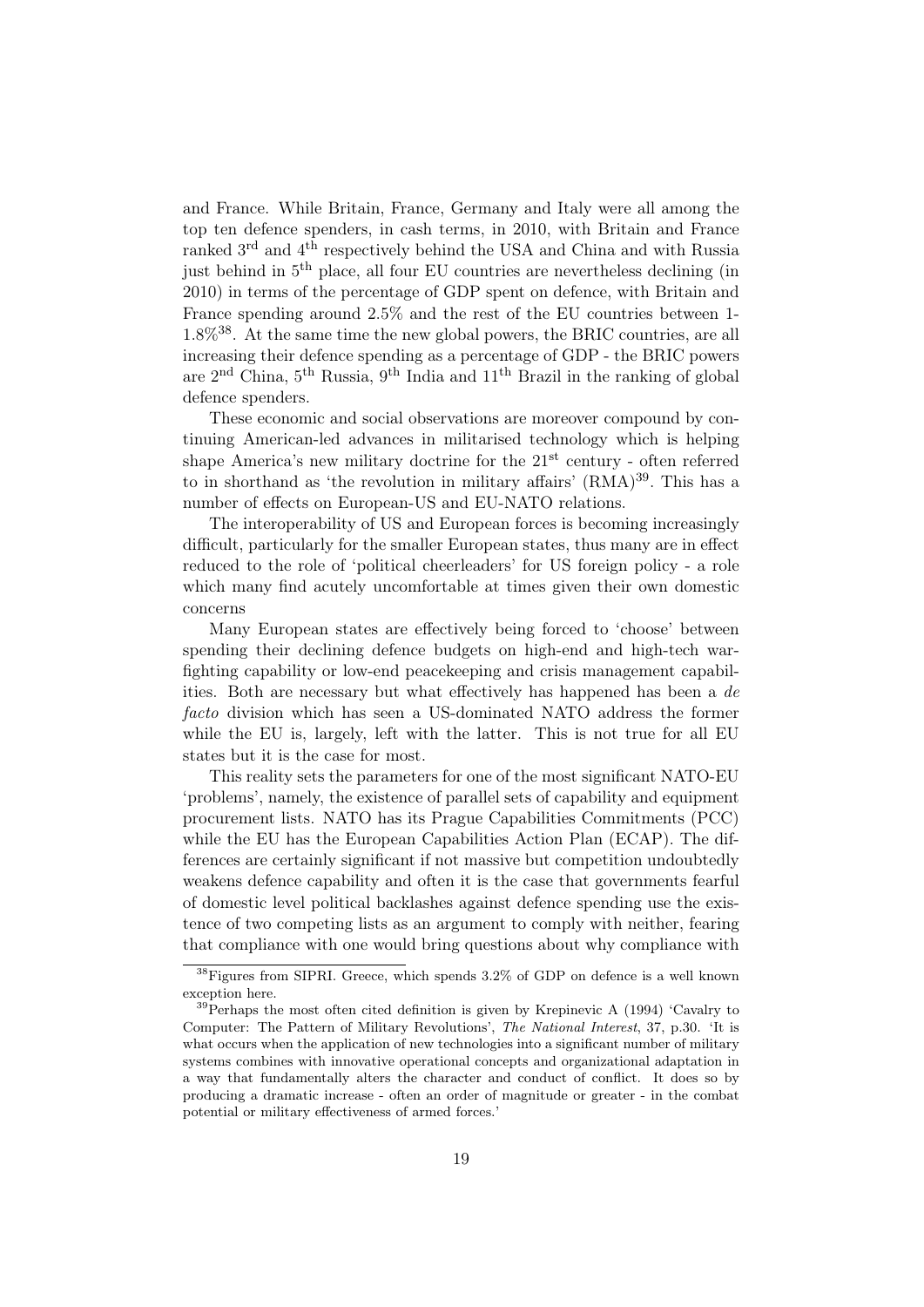and France. While Britain, France, Germany and Italy were all among the top ten defence spenders, in cash terms, in 2010, with Britain and France ranked 3rd and 4th respectively behind the USA and China and with Russia just behind in 5th place, all four EU countries are nevertheless declining (in 2010) in terms of the percentage of GDP spent on defence, with Britain and France spending around 2.5% and the rest of the EU countries between 1-  $1.8\%$ <sup>38</sup>. At the same time the new global powers, the BRIC countries, are all increasing their defence spending as a percentage of GDP - the BRIC powers are  $2<sup>nd</sup> China, 5<sup>th</sup> Russia, 9<sup>th</sup> India and 11<sup>th</sup> Brazil in the ranking of global$ defence spenders.

These economic and social observations are moreover compound by continuing American-led advances in militarised technology which is helping shape America's new military doctrine for the  $21<sup>st</sup>$  century - often referred to in shorthand as 'the revolution in military affairs' (RMA)<sup>39</sup>. This has a number of effects on European-US and EU-NATO relations.

The interoperability of US and European forces is becoming increasingly difficult, particularly for the smaller European states, thus many are in effect reduced to the role of 'political cheerleaders' for US foreign policy - a role which many find acutely uncomfortable at times given their own domestic concerns

Many European states are effectively being forced to 'choose' between spending their declining defence budgets on high-end and high-tech warfighting capability or low-end peacekeeping and crisis management capabilities. Both are necessary but what effectively has happened has been a de facto division which has seen a US-dominated NATO address the former while the EU is, largely, left with the latter. This is not true for all EU states but it is the case for most.

This reality sets the parameters for one of the most significant NATO-EU 'problems', namely, the existence of parallel sets of capability and equipment procurement lists. NATO has its Prague Capabilities Commitments (PCC) while the EU has the European Capabilities Action Plan (ECAP). The differences are certainly significant if not massive but competition undoubtedly weakens defence capability and often it is the case that governments fearful of domestic level political backlashes against defence spending use the existence of two competing lists as an argument to comply with neither, fearing that compliance with one would bring questions about why compliance with

<sup>&</sup>lt;sup>38</sup>Figures from SIPRI. Greece, which spends 3.2% of GDP on defence is a well known exception here.

 $39$ Perhaps the most often cited definition is given by Krepinevic A (1994) 'Cavalry to Computer: The Pattern of Military Revolutions', The National Interest, 37, p.30. 'It is what occurs when the application of new technologies into a significant number of military systems combines with innovative operational concepts and organizational adaptation in a way that fundamentally alters the character and conduct of conflict. It does so by producing a dramatic increase - often an order of magnitude or greater - in the combat potential or military effectiveness of armed forces.'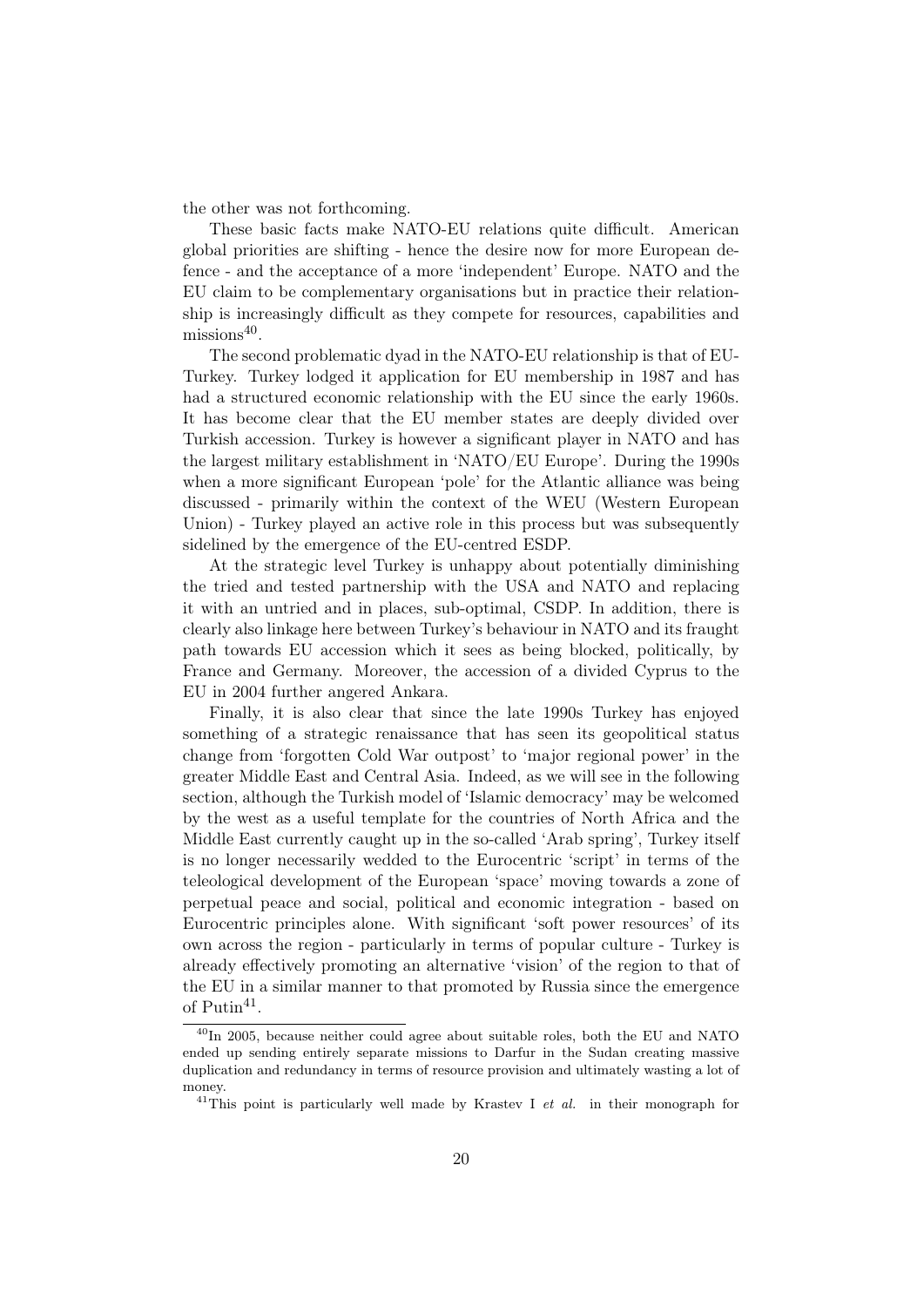the other was not forthcoming.

These basic facts make NATO-EU relations quite difficult. American global priorities are shifting - hence the desire now for more European defence - and the acceptance of a more 'independent' Europe. NATO and the EU claim to be complementary organisations but in practice their relationship is increasingly difficult as they compete for resources, capabilities and missions<sup>40</sup>.

The second problematic dyad in the NATO-EU relationship is that of EU-Turkey. Turkey lodged it application for EU membership in 1987 and has had a structured economic relationship with the EU since the early 1960s. It has become clear that the EU member states are deeply divided over Turkish accession. Turkey is however a significant player in NATO and has the largest military establishment in 'NATO/EU Europe'. During the 1990s when a more significant European 'pole' for the Atlantic alliance was being discussed - primarily within the context of the WEU (Western European Union) - Turkey played an active role in this process but was subsequently sidelined by the emergence of the EU-centred ESDP.

At the strategic level Turkey is unhappy about potentially diminishing the tried and tested partnership with the USA and NATO and replacing it with an untried and in places, sub-optimal, CSDP. In addition, there is clearly also linkage here between Turkey's behaviour in NATO and its fraught path towards EU accession which it sees as being blocked, politically, by France and Germany. Moreover, the accession of a divided Cyprus to the EU in 2004 further angered Ankara.

Finally, it is also clear that since the late 1990s Turkey has enjoyed something of a strategic renaissance that has seen its geopolitical status change from 'forgotten Cold War outpost' to 'major regional power' in the greater Middle East and Central Asia. Indeed, as we will see in the following section, although the Turkish model of 'Islamic democracy' may be welcomed by the west as a useful template for the countries of North Africa and the Middle East currently caught up in the so-called 'Arab spring', Turkey itself is no longer necessarily wedded to the Eurocentric 'script' in terms of the teleological development of the European 'space' moving towards a zone of perpetual peace and social, political and economic integration - based on Eurocentric principles alone. With significant 'soft power resources' of its own across the region - particularly in terms of popular culture - Turkey is already effectively promoting an alternative 'vision' of the region to that of the EU in a similar manner to that promoted by Russia since the emergence of  $\text{Putin}^{41}$ .

 $^{40}$ In 2005, because neither could agree about suitable roles, both the EU and NATO ended up sending entirely separate missions to Darfur in the Sudan creating massive duplication and redundancy in terms of resource provision and ultimately wasting a lot of money.

 $41$ This point is particularly well made by Krastev I et al. in their monograph for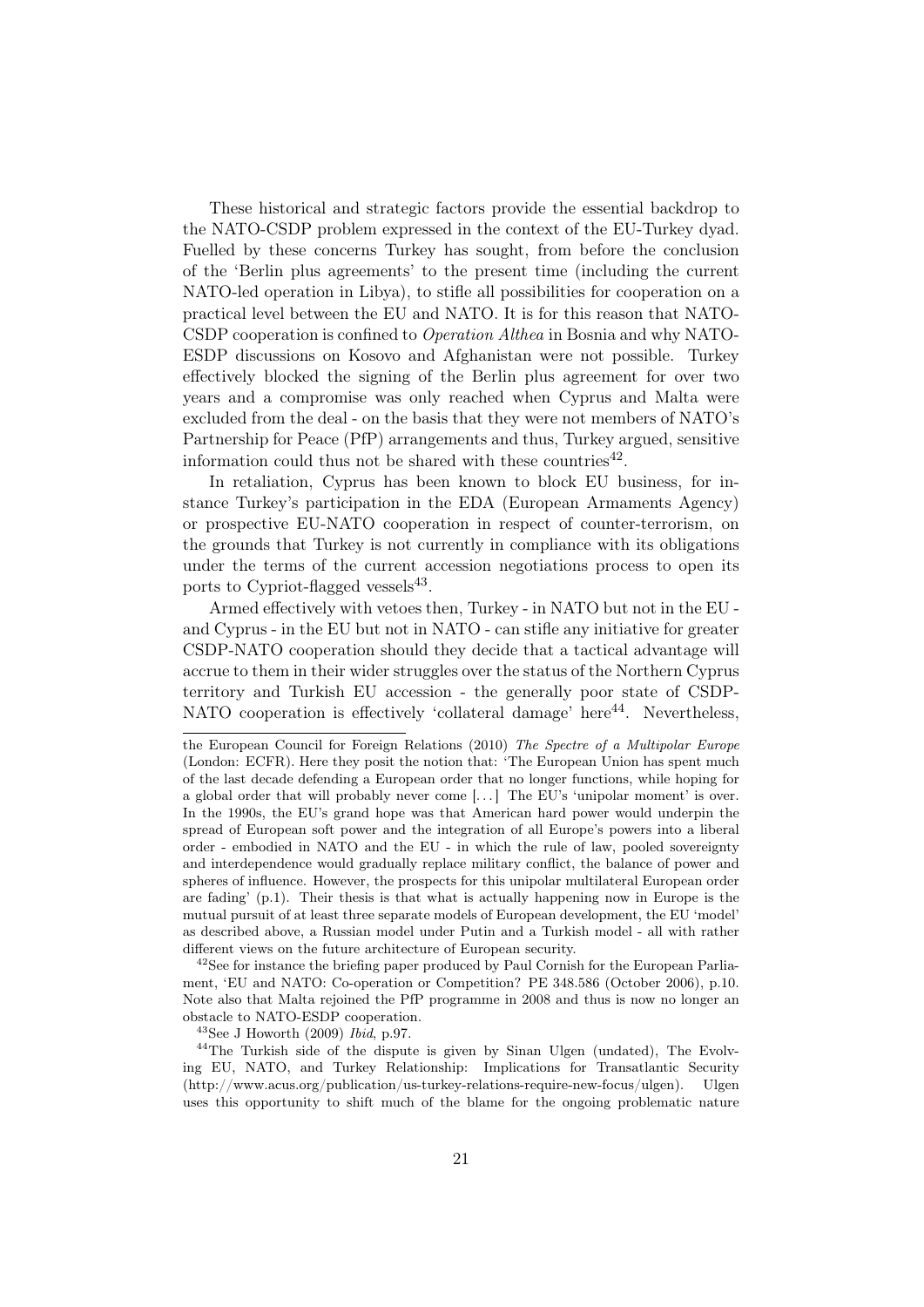These historical and strategic factors provide the essential backdrop to the NATO-CSDP problem expressed in the context of the EU-Turkey dyad. Fuelled by these concerns Turkey has sought, from before the conclusion of the 'Berlin plus agreements' to the present time (including the current NATO-led operation in Libya), to stifle all possibilities for cooperation on a practical level between the EU and NATO. It is for this reason that NATO-CSDP cooperation is confined to Operation Althea in Bosnia and why NATO-ESDP discussions on Kosovo and Afghanistan were not possible. Turkey effectively blocked the signing of the Berlin plus agreement for over two years and a compromise was only reached when Cyprus and Malta were excluded from the deal - on the basis that they were not members of NATO's Partnership for Peace (PfP) arrangements and thus, Turkey argued, sensitive information could thus not be shared with these countries<sup>42</sup>.

In retaliation, Cyprus has been known to block EU business, for instance Turkey's participation in the EDA (European Armaments Agency) or prospective EU-NATO cooperation in respect of counter-terrorism, on the grounds that Turkey is not currently in compliance with its obligations under the terms of the current accession negotiations process to open its ports to Cypriot-flagged vessels<sup>43</sup>.

Armed effectively with vetoes then, Turkey - in NATO but not in the EU and Cyprus - in the EU but not in NATO - can stifle any initiative for greater CSDP-NATO cooperation should they decide that a tactical advantage will accrue to them in their wider struggles over the status of the Northern Cyprus territory and Turkish EU accession - the generally poor state of CSDP-NATO cooperation is effectively 'collateral damage' here<sup>44</sup>. Nevertheless,

<sup>42</sup>See for instance the briefing paper produced by Paul Cornish for the European Parliament, 'EU and NATO: Co-operation or Competition? PE 348.586 (October 2006), p.10. Note also that Malta rejoined the PfP programme in 2008 and thus is now no longer an obstacle to NATO-ESDP cooperation.

 $^{43}$ See J Howorth (2009) Ibid, p.97.

<sup>44</sup>The Turkish side of the dispute is given by Sinan Ulgen (undated), The Evolving EU, NATO, and Turkey Relationship: Implications for Transatlantic Security (http://www.acus.org/publication/us-turkey-relations-require-new-focus/ulgen). Ulgen uses this opportunity to shift much of the blame for the ongoing problematic nature

the European Council for Foreign Relations (2010) The Spectre of a Multipolar Europe (London: ECFR). Here they posit the notion that: 'The European Union has spent much of the last decade defending a European order that no longer functions, while hoping for a global order that will probably never come  $[\ldots]$  The EU's 'unipolar moment' is over. In the 1990s, the EU's grand hope was that American hard power would underpin the spread of European soft power and the integration of all Europe's powers into a liberal order - embodied in NATO and the EU - in which the rule of law, pooled sovereignty and interdependence would gradually replace military conflict, the balance of power and spheres of influence. However, the prospects for this unipolar multilateral European order are fading'  $(p,1)$ . Their thesis is that what is actually happening now in Europe is the mutual pursuit of at least three separate models of European development, the EU 'model' as described above, a Russian model under Putin and a Turkish model - all with rather different views on the future architecture of European security.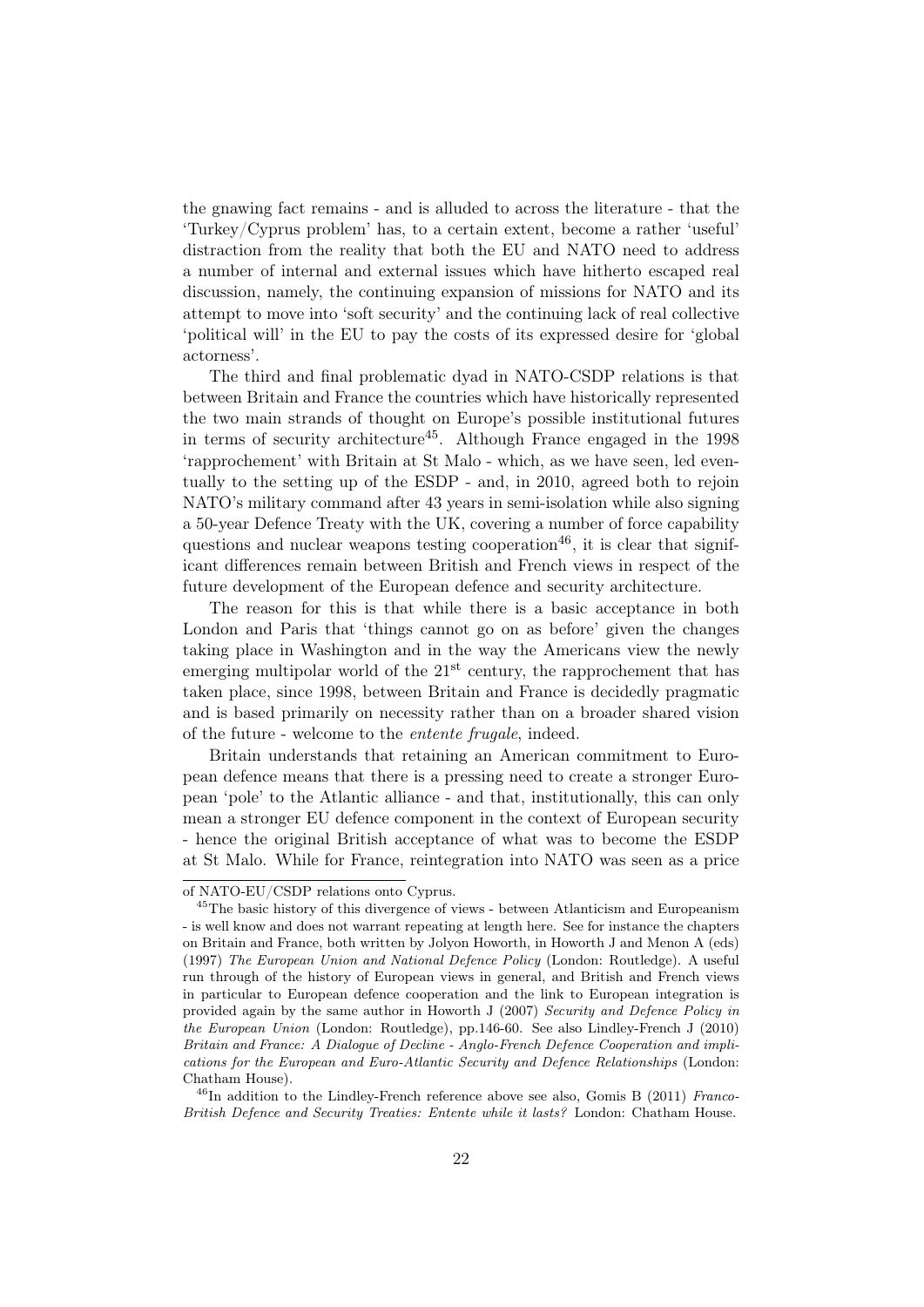the gnawing fact remains - and is alluded to across the literature - that the 'Turkey/Cyprus problem' has, to a certain extent, become a rather 'useful' distraction from the reality that both the EU and NATO need to address a number of internal and external issues which have hitherto escaped real discussion, namely, the continuing expansion of missions for NATO and its attempt to move into 'soft security' and the continuing lack of real collective 'political will' in the EU to pay the costs of its expressed desire for 'global actorness'.

The third and final problematic dyad in NATO-CSDP relations is that between Britain and France the countries which have historically represented the two main strands of thought on Europe's possible institutional futures in terms of security architecture<sup>45</sup>. Although France engaged in the  $1998$ 'rapprochement' with Britain at St Malo - which, as we have seen, led eventually to the setting up of the ESDP - and, in 2010, agreed both to rejoin NATO's military command after 43 years in semi-isolation while also signing a 50-year Defence Treaty with the UK, covering a number of force capability questions and nuclear weapons testing cooperation<sup>46</sup>, it is clear that significant differences remain between British and French views in respect of the future development of the European defence and security architecture.

The reason for this is that while there is a basic acceptance in both London and Paris that 'things cannot go on as before' given the changes taking place in Washington and in the way the Americans view the newly emerging multipolar world of the  $21<sup>st</sup>$  century, the rapprochement that has taken place, since 1998, between Britain and France is decidedly pragmatic and is based primarily on necessity rather than on a broader shared vision of the future - welcome to the entente frugale, indeed.

Britain understands that retaining an American commitment to European defence means that there is a pressing need to create a stronger European 'pole' to the Atlantic alliance - and that, institutionally, this can only mean a stronger EU defence component in the context of European security - hence the original British acceptance of what was to become the ESDP at St Malo. While for France, reintegration into NATO was seen as a price

of NATO-EU/CSDP relations onto Cyprus.

<sup>45</sup>The basic history of this divergence of views - between Atlanticism and Europeanism - is well know and does not warrant repeating at length here. See for instance the chapters on Britain and France, both written by Jolyon Howorth, in Howorth J and Menon A (eds) (1997) The European Union and National Defence Policy (London: Routledge). A useful run through of the history of European views in general, and British and French views in particular to European defence cooperation and the link to European integration is provided again by the same author in Howorth J (2007) Security and Defence Policy in the European Union (London: Routledge), pp.146-60. See also Lindley-French J (2010) Britain and France: A Dialogue of Decline - Anglo-French Defence Cooperation and implications for the European and Euro-Atlantic Security and Defence Relationships (London: Chatham House).

 $^{46}$ In addition to the Lindley-French reference above see also, Gomis B (2011) Franco-British Defence and Security Treaties: Entente while it lasts? London: Chatham House.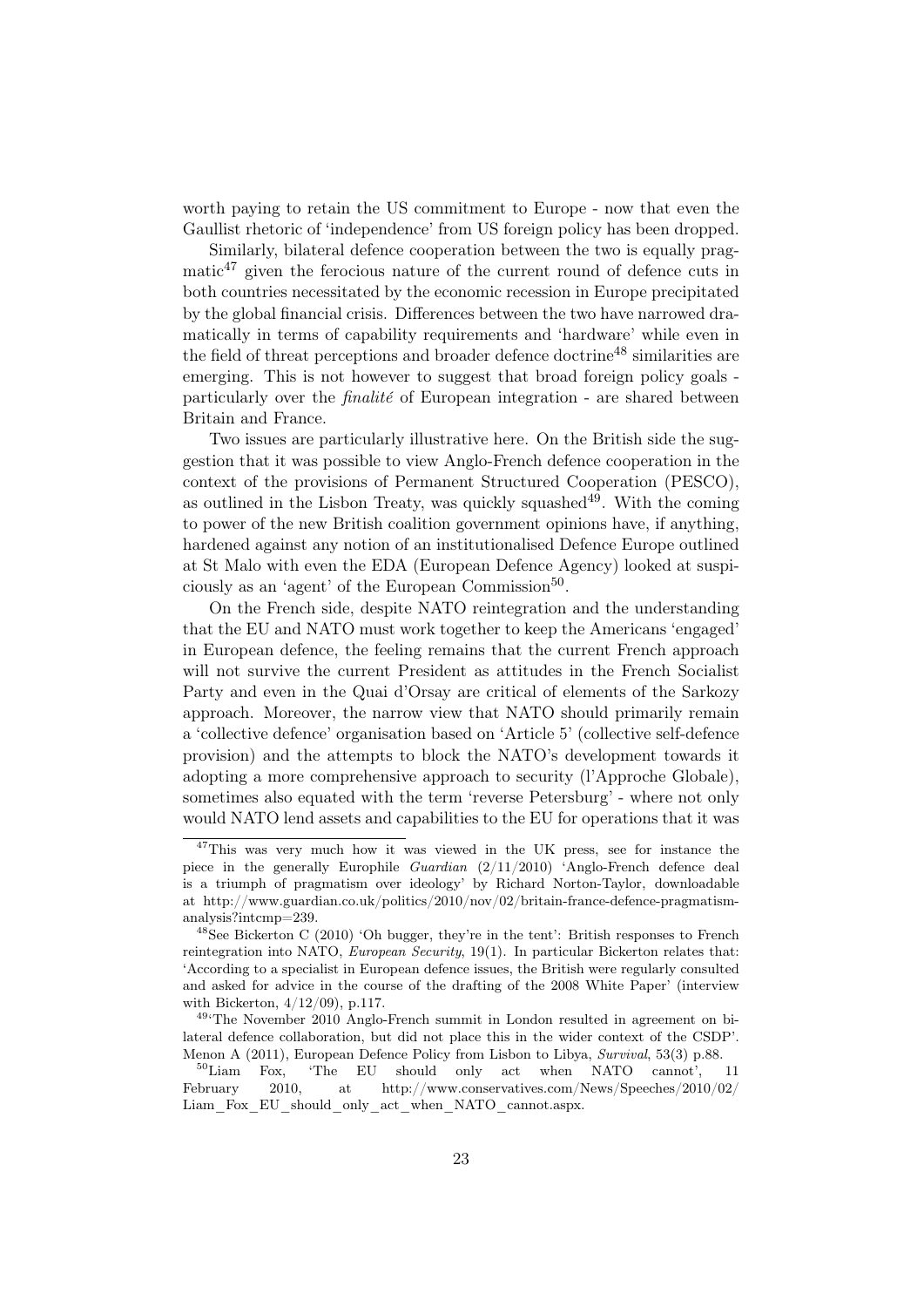worth paying to retain the US commitment to Europe - now that even the Gaullist rhetoric of 'independence' from US foreign policy has been dropped.

Similarly, bilateral defence cooperation between the two is equally prag $matic<sup>47</sup>$  given the ferocious nature of the current round of defence cuts in both countries necessitated by the economic recession in Europe precipitated by the global financial crisis. Differences between the two have narrowed dramatically in terms of capability requirements and 'hardware' while even in the field of threat perceptions and broader defence doctrine<sup>48</sup> similarities are emerging. This is not however to suggest that broad foreign policy goals particularly over the finalité of European integration - are shared between Britain and France.

Two issues are particularly illustrative here. On the British side the suggestion that it was possible to view Anglo-French defence cooperation in the context of the provisions of Permanent Structured Cooperation (PESCO), as outlined in the Lisbon Treaty, was quickly squashed<sup>49</sup>. With the coming to power of the new British coalition government opinions have, if anything, hardened against any notion of an institutionalised Defence Europe outlined at St Malo with even the EDA (European Defence Agency) looked at suspiciously as an 'agent' of the European Commission<sup>50</sup>.

On the French side, despite NATO reintegration and the understanding that the EU and NATO must work together to keep the Americans 'engaged' in European defence, the feeling remains that the current French approach will not survive the current President as attitudes in the French Socialist Party and even in the Quai d'Orsay are critical of elements of the Sarkozy approach. Moreover, the narrow view that NATO should primarily remain a 'collective defence' organisation based on 'Article 5' (collective self-defence provision) and the attempts to block the NATO's development towards it adopting a more comprehensive approach to security (l'Approche Globale), sometimes also equated with the term 'reverse Petersburg' - where not only would NATO lend assets and capabilities to the EU for operations that it was

<sup>&</sup>lt;sup>47</sup>This was very much how it was viewed in the UK press, see for instance the piece in the generally Europhile Guardian (2/11/2010) 'Anglo-French defence deal is a triumph of pragmatism over ideology' by Richard Norton-Taylor, downloadable at http://www.guardian.co.uk/politics/2010/nov/02/britain-france-defence-pragmatismanalysis?intcmp=239.

 $^{48}$ See Bickerton C (2010) 'Oh bugger, they're in the tent': British responses to French reintegration into NATO, European Security, 19(1). In particular Bickerton relates that: 'According to a specialist in European defence issues, the British were regularly consulted and asked for advice in the course of the drafting of the 2008 White Paper' (interview with Bickerton, 4/12/09), p.117.

<sup>49</sup>'The November 2010 Anglo-French summit in London resulted in agreement on bilateral defence collaboration, but did not place this in the wider context of the CSDP'. Menon A (2011), European Defence Policy from Lisbon to Libya, Survival, 53(3) p.88.<br><sup>50</sup>Liam Fox. 'The EU should only act when NATO cannot',

Fox, 'The EU should only act when NATO cannot', 11 February 2010, at http://www.conservatives.com/News/Speeches/2010/02/ Liam\_Fox\_EU\_should\_only\_act\_when\_NATO\_cannot.aspx.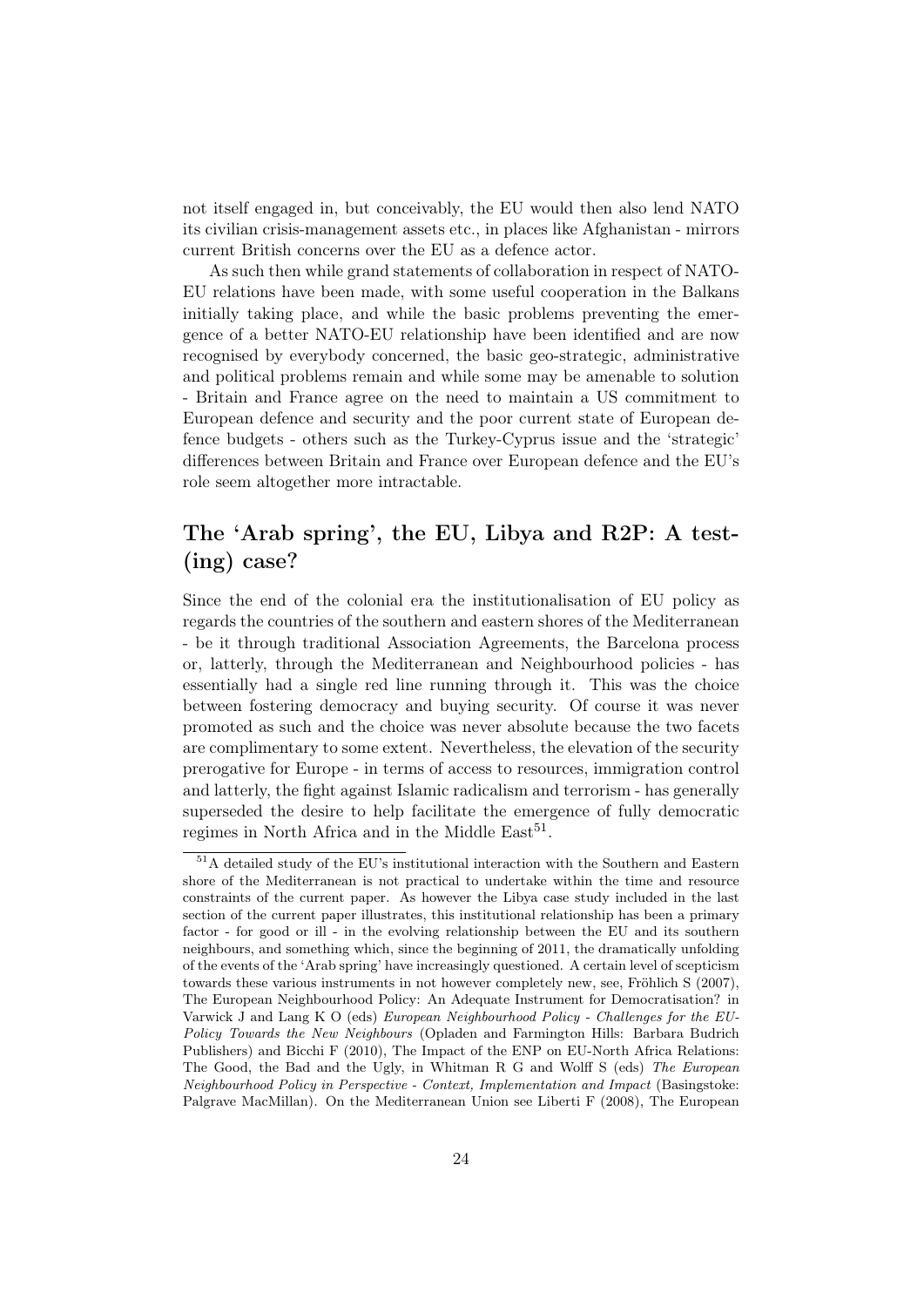not itself engaged in, but conceivably, the EU would then also lend NATO its civilian crisis-management assets etc., in places like Afghanistan - mirrors current British concerns over the EU as a defence actor.

As such then while grand statements of collaboration in respect of NATO-EU relations have been made, with some useful cooperation in the Balkans initially taking place, and while the basic problems preventing the emergence of a better NATO-EU relationship have been identified and are now recognised by everybody concerned, the basic geo-strategic, administrative and political problems remain and while some may be amenable to solution - Britain and France agree on the need to maintain a US commitment to European defence and security and the poor current state of European defence budgets - others such as the Turkey-Cyprus issue and the 'strategic' differences between Britain and France over European defence and the EU's role seem altogether more intractable.

## The 'Arab spring', the EU, Libya and R2P: A test- (ing) case?

Since the end of the colonial era the institutionalisation of EU policy as regards the countries of the southern and eastern shores of the Mediterranean - be it through traditional Association Agreements, the Barcelona process or, latterly, through the Mediterranean and Neighbourhood policies - has essentially had a single red line running through it. This was the choice between fostering democracy and buying security. Of course it was never promoted as such and the choice was never absolute because the two facets are complimentary to some extent. Nevertheless, the elevation of the security prerogative for Europe - in terms of access to resources, immigration control and latterly, the fight against Islamic radicalism and terrorism - has generally superseded the desire to help facilitate the emergence of fully democratic regimes in North Africa and in the Middle  $East<sup>51</sup>$ .

<sup>51</sup>A detailed study of the EU's institutional interaction with the Southern and Eastern shore of the Mediterranean is not practical to undertake within the time and resource constraints of the current paper. As however the Libya case study included in the last section of the current paper illustrates, this institutional relationship has been a primary factor - for good or ill - in the evolving relationship between the EU and its southern neighbours, and something which, since the beginning of 2011, the dramatically unfolding of the events of the 'Arab spring' have increasingly questioned. A certain level of scepticism towards these various instruments in not however completely new, see, Fröhlich S (2007), The European Neighbourhood Policy: An Adequate Instrument for Democratisation? in Varwick J and Lang K O (eds) European Neighbourhood Policy - Challenges for the EU-Policy Towards the New Neighbours (Opladen and Farmington Hills: Barbara Budrich Publishers) and Bicchi F (2010), The Impact of the ENP on EU-North Africa Relations: The Good, the Bad and the Ugly, in Whitman R G and Wolff S (eds) The European Neighbourhood Policy in Perspective - Context, Implementation and Impact (Basingstoke: Palgrave MacMillan). On the Mediterranean Union see Liberti F (2008), The European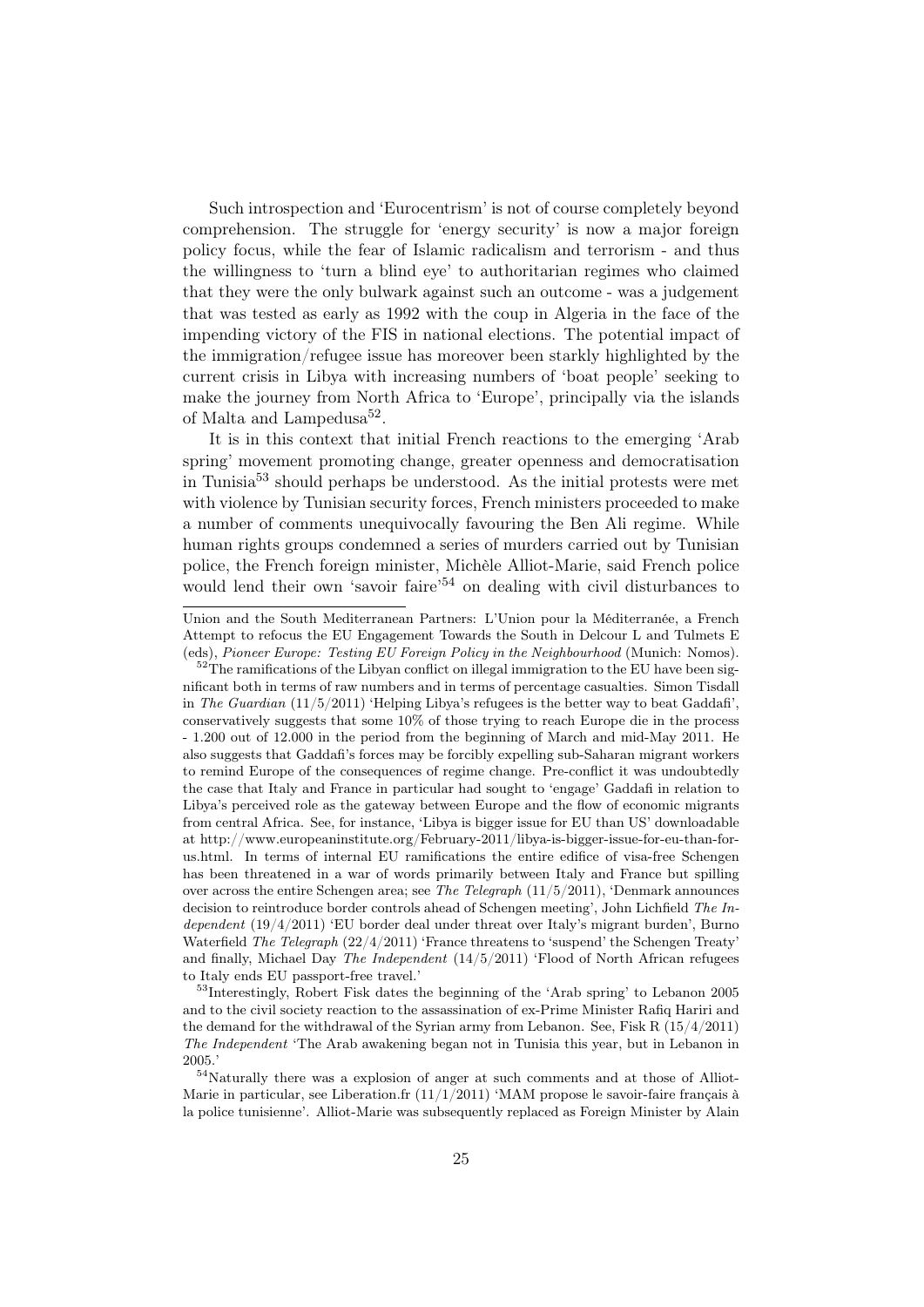Such introspection and 'Eurocentrism' is not of course completely beyond comprehension. The struggle for 'energy security' is now a major foreign policy focus, while the fear of Islamic radicalism and terrorism - and thus the willingness to 'turn a blind eye' to authoritarian regimes who claimed that they were the only bulwark against such an outcome - was a judgement that was tested as early as 1992 with the coup in Algeria in the face of the impending victory of the FIS in national elections. The potential impact of the immigration/refugee issue has moreover been starkly highlighted by the current crisis in Libya with increasing numbers of 'boat people' seeking to make the journey from North Africa to 'Europe', principally via the islands of Malta and Lampedusa<sup>52</sup>.

It is in this context that initial French reactions to the emerging 'Arab spring' movement promoting change, greater openness and democratisation in Tunisia<sup>53</sup> should perhaps be understood. As the initial protests were met with violence by Tunisian security forces, French ministers proceeded to make a number of comments unequivocally favouring the Ben Ali regime. While human rights groups condemned a series of murders carried out by Tunisian police, the French foreign minister, Michèle Alliot-Marie, said French police would lend their own 'savoir faire'<sup>54</sup> on dealing with civil disturbances to

<sup>53</sup>Interestingly, Robert Fisk dates the beginning of the 'Arab spring' to Lebanon 2005 and to the civil society reaction to the assassination of ex-Prime Minister Rafiq Hariri and the demand for the withdrawal of the Syrian army from Lebanon. See, Fisk R (15/4/2011) The Independent 'The Arab awakening began not in Tunisia this year, but in Lebanon in 2005.'

Union and the South Mediterranean Partners: L'Union pour la Méditerranée, a French Attempt to refocus the EU Engagement Towards the South in Delcour L and Tulmets E (eds), Pioneer Europe: Testing EU Foreign Policy in the Neighbourhood (Munich: Nomos).

 $52$ The ramifications of the Libyan conflict on illegal immigration to the EU have been significant both in terms of raw numbers and in terms of percentage casualties. Simon Tisdall in The Guardian  $(11/5/2011)$  'Helping Libya's refugees is the better way to beat Gaddafi', conservatively suggests that some 10% of those trying to reach Europe die in the process - 1.200 out of 12.000 in the period from the beginning of March and mid-May 2011. He also suggests that Gaddafi's forces may be forcibly expelling sub-Saharan migrant workers to remind Europe of the consequences of regime change. Pre-conflict it was undoubtedly the case that Italy and France in particular had sought to 'engage' Gaddafi in relation to Libya's perceived role as the gateway between Europe and the flow of economic migrants from central Africa. See, for instance, 'Libya is bigger issue for EU than US' downloadable at http://www.europeaninstitute.org/February-2011/libya-is-bigger-issue-for-eu-than-forus.html. In terms of internal EU ramifications the entire edifice of visa-free Schengen has been threatened in a war of words primarily between Italy and France but spilling over across the entire Schengen area; see The Telegraph (11/5/2011), 'Denmark announces decision to reintroduce border controls ahead of Schengen meeting', John Lichfield The Independent (19/4/2011) 'EU border deal under threat over Italy's migrant burden', Burno Waterfield The Telegraph  $(22/4/2011)$  'France threatens to 'suspend' the Schengen Treaty' and finally, Michael Day The Independent (14/5/2011) 'Flood of North African refugees to Italy ends EU passport-free travel.'

<sup>54</sup>Naturally there was a explosion of anger at such comments and at those of Alliot-Marie in particular, see Liberation.fr  $(11/1/2011)$  'MAM propose le savoir-faire français à la police tunisienne'. Alliot-Marie was subsequently replaced as Foreign Minister by Alain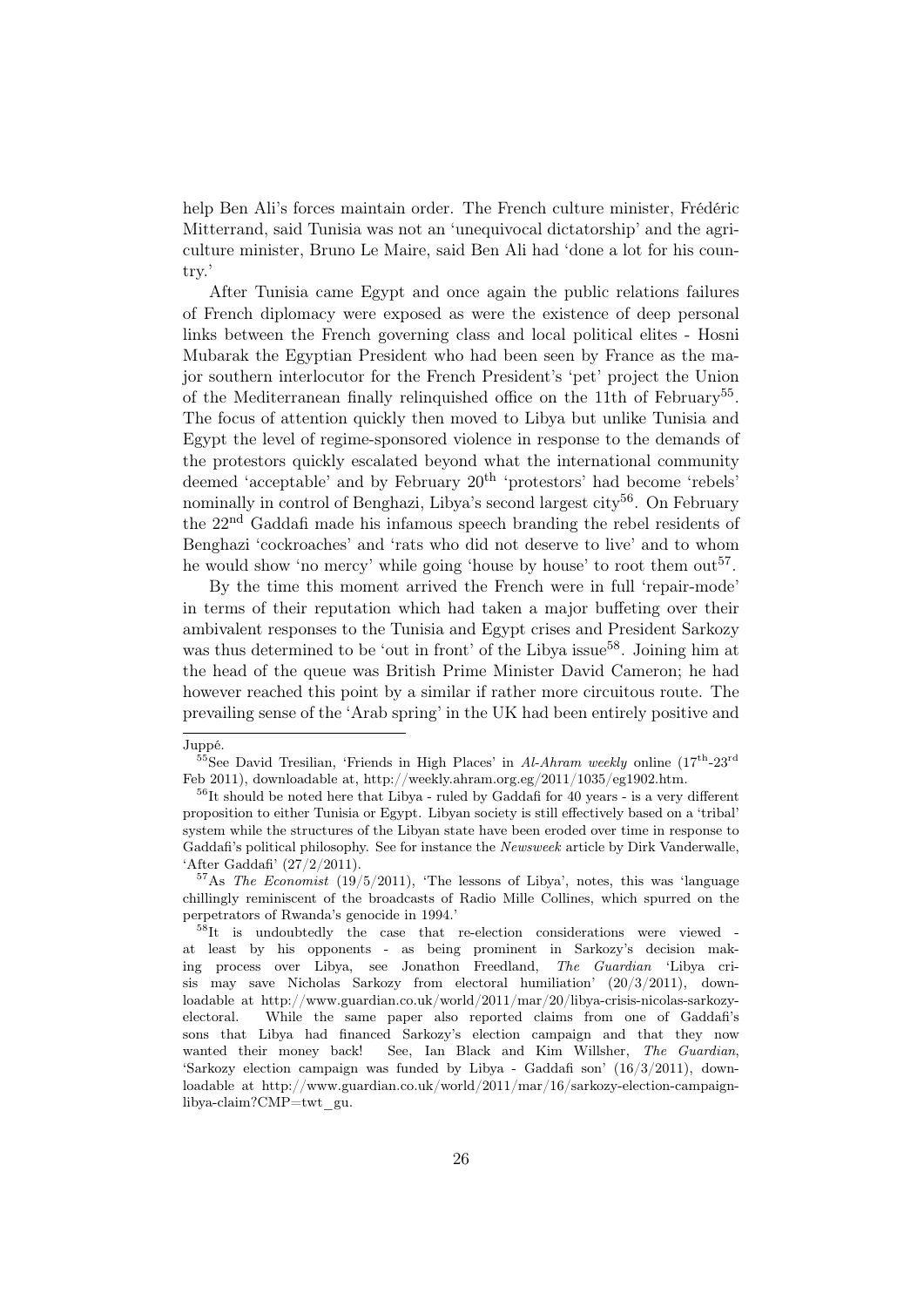help Ben Ali's forces maintain order. The French culture minister, Frédéric Mitterrand, said Tunisia was not an 'unequivocal dictatorship' and the agriculture minister, Bruno Le Maire, said Ben Ali had 'done a lot for his country.'

After Tunisia came Egypt and once again the public relations failures of French diplomacy were exposed as were the existence of deep personal links between the French governing class and local political elites - Hosni Mubarak the Egyptian President who had been seen by France as the major southern interlocutor for the French President's 'pet' project the Union of the Mediterranean finally relinquished office on the 11th of February<sup>55</sup>. The focus of attention quickly then moved to Libya but unlike Tunisia and Egypt the level of regime-sponsored violence in response to the demands of the protestors quickly escalated beyond what the international community deemed 'acceptable' and by February 20<sup>th</sup> 'protestors' had become 'rebels' nominally in control of Benghazi, Libya's second largest city<sup>56</sup>. On February the 22nd Gaddafi made his infamous speech branding the rebel residents of Benghazi 'cockroaches' and 'rats who did not deserve to live' and to whom he would show 'no mercy' while going 'house by house' to root them out<sup>57</sup>.

By the time this moment arrived the French were in full 'repair-mode' in terms of their reputation which had taken a major buffeting over their ambivalent responses to the Tunisia and Egypt crises and President Sarkozy was thus determined to be 'out in front' of the Libya issue<sup>58</sup>. Joining him at the head of the queue was British Prime Minister David Cameron; he had however reached this point by a similar if rather more circuitous route. The prevailing sense of the 'Arab spring' in the UK had been entirely positive and

Juppé.

<sup>&</sup>lt;sup>55</sup>See David Tresilian, 'Friends in High Places' in Al-Ahram weekly online  $(17<sup>th</sup>-23<sup>rd</sup>)$ Feb 2011), downloadable at, http://weekly.ahram.org.eg/2011/1035/eg1902.htm.

 $56$ It should be noted here that Libya - ruled by Gaddafi for 40 years - is a very different proposition to either Tunisia or Egypt. Libyan society is still effectively based on a 'tribal' system while the structures of the Libyan state have been eroded over time in response to Gaddafi's political philosophy. See for instance the Newsweek article by Dirk Vanderwalle, 'After Gaddafi' (27/2/2011).

 $57$ As The Economist (19/5/2011), 'The lessons of Libya', notes, this was 'language chillingly reminiscent of the broadcasts of Radio Mille Collines, which spurred on the perpetrators of Rwanda's genocide in 1994.'

 $58$ It is undoubtedly the case that re-election considerations were viewed at least by his opponents - as being prominent in Sarkozy's decision making process over Libya, see Jonathon Freedland, The Guardian 'Libya crisis may save Nicholas Sarkozy from electoral humiliation' (20/3/2011), downloadable at http://www.guardian.co.uk/world/2011/mar/20/libya-crisis-nicolas-sarkozyelectoral. While the same paper also reported claims from one of Gaddafi's sons that Libya had financed Sarkozy's election campaign and that they now wanted their money back! See, Ian Black and Kim Willsher, The Guardian, 'Sarkozy election campaign was funded by Libya - Gaddafi son' (16/3/2011), downloadable at http://www.guardian.co.uk/world/2011/mar/16/sarkozy-election-campaignlibya-claim?CMP=twt\_gu.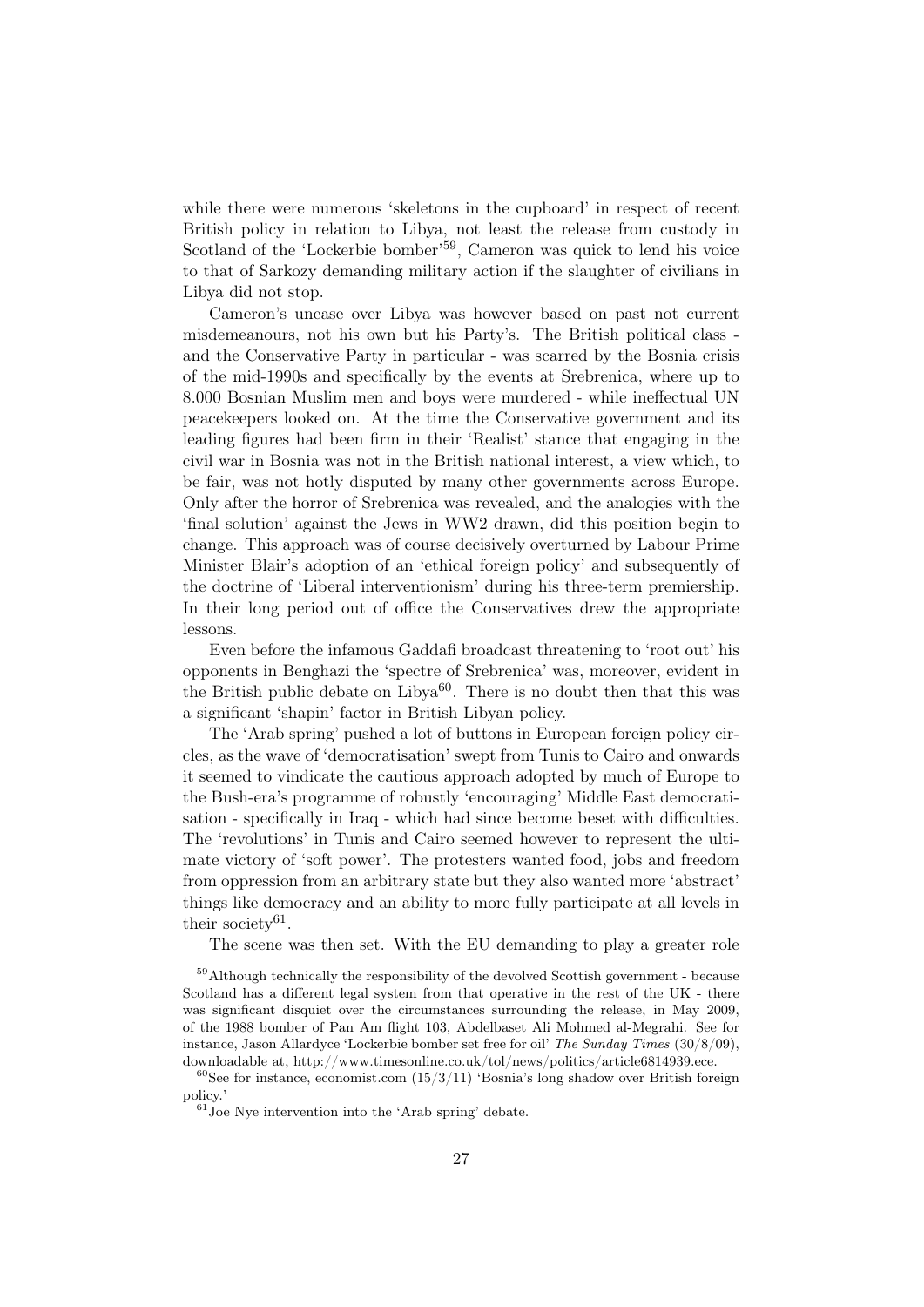while there were numerous 'skeletons in the cupboard' in respect of recent British policy in relation to Libya, not least the release from custody in Scotland of the 'Lockerbie bomber'<sup>59</sup>, Cameron was quick to lend his voice to that of Sarkozy demanding military action if the slaughter of civilians in Libya did not stop.

Cameron's unease over Libya was however based on past not current misdemeanours, not his own but his Party's. The British political class and the Conservative Party in particular - was scarred by the Bosnia crisis of the mid-1990s and specifically by the events at Srebrenica, where up to 8.000 Bosnian Muslim men and boys were murdered - while ineffectual UN peacekeepers looked on. At the time the Conservative government and its leading figures had been firm in their 'Realist' stance that engaging in the civil war in Bosnia was not in the British national interest, a view which, to be fair, was not hotly disputed by many other governments across Europe. Only after the horror of Srebrenica was revealed, and the analogies with the 'final solution' against the Jews in WW2 drawn, did this position begin to change. This approach was of course decisively overturned by Labour Prime Minister Blair's adoption of an 'ethical foreign policy' and subsequently of the doctrine of 'Liberal interventionism' during his three-term premiership. In their long period out of office the Conservatives drew the appropriate lessons.

Even before the infamous Gaddafi broadcast threatening to 'root out' his opponents in Benghazi the 'spectre of Srebrenica' was, moreover, evident in the British public debate on Libya<sup>60</sup>. There is no doubt then that this was a significant 'shapin' factor in British Libyan policy.

The 'Arab spring' pushed a lot of buttons in European foreign policy circles, as the wave of 'democratisation' swept from Tunis to Cairo and onwards it seemed to vindicate the cautious approach adopted by much of Europe to the Bush-era's programme of robustly 'encouraging' Middle East democratisation - specifically in Iraq - which had since become beset with difficulties. The 'revolutions' in Tunis and Cairo seemed however to represent the ultimate victory of 'soft power'. The protesters wanted food, jobs and freedom from oppression from an arbitrary state but they also wanted more 'abstract' things like democracy and an ability to more fully participate at all levels in their society<sup>61</sup>.

The scene was then set. With the EU demanding to play a greater role

<sup>59</sup>Although technically the responsibility of the devolved Scottish government - because Scotland has a different legal system from that operative in the rest of the UK - there was significant disquiet over the circumstances surrounding the release, in May 2009, of the 1988 bomber of Pan Am flight 103, Abdelbaset Ali Mohmed al-Megrahi. See for instance, Jason Allardyce 'Lockerbie bomber set free for oil' The Sunday Times (30/8/09), downloadable at, http://www.timesonline.co.uk/tol/news/politics/article6814939.ece.

 $60$ See for instance, economist.com  $(15/3/11)$  'Bosnia's long shadow over British foreign policy.'

 $61$  Joe Nye intervention into the 'Arab spring' debate.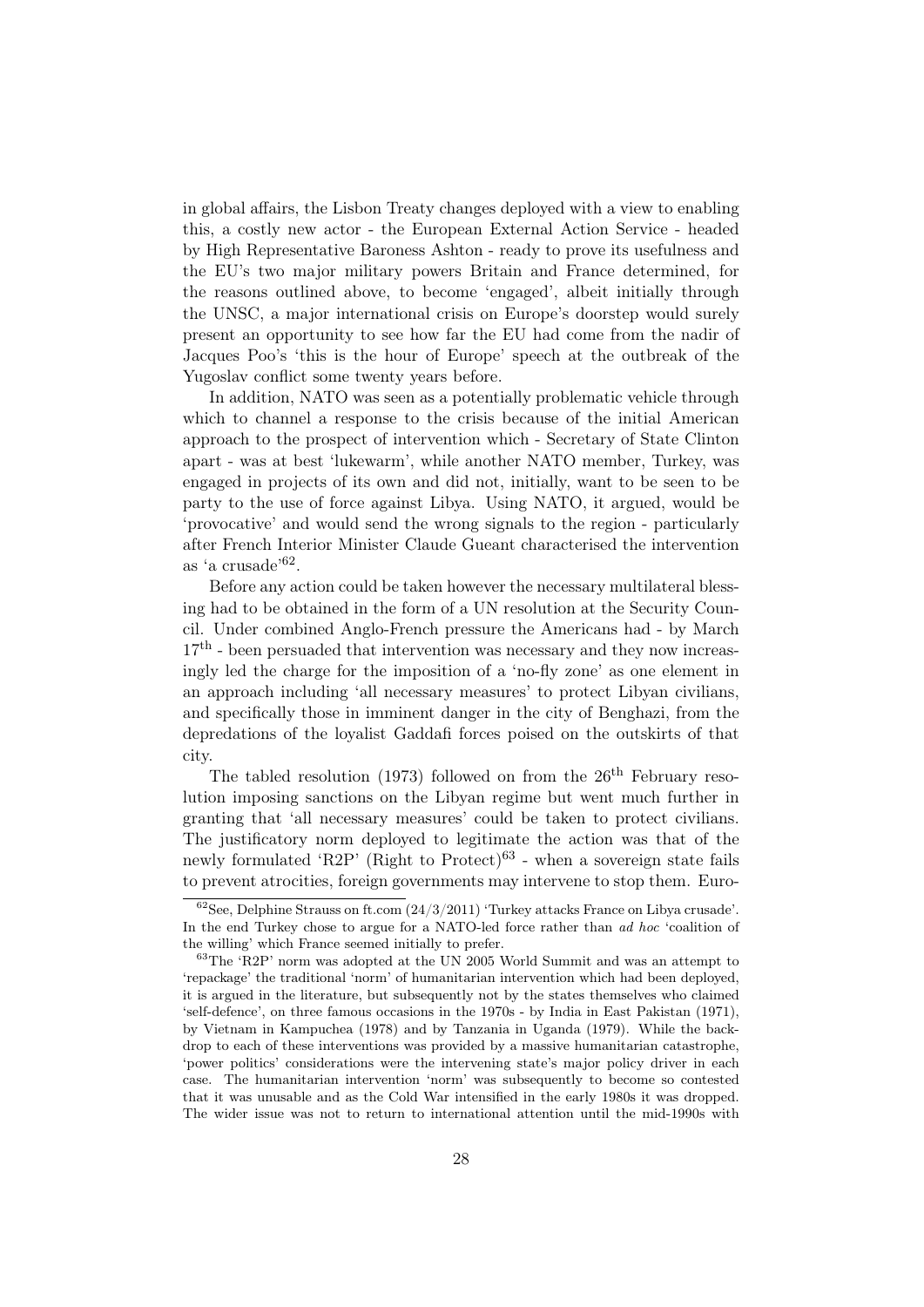in global affairs, the Lisbon Treaty changes deployed with a view to enabling this, a costly new actor - the European External Action Service - headed by High Representative Baroness Ashton - ready to prove its usefulness and the EU's two major military powers Britain and France determined, for the reasons outlined above, to become 'engaged', albeit initially through the UNSC, a major international crisis on Europe's doorstep would surely present an opportunity to see how far the EU had come from the nadir of Jacques Poo's 'this is the hour of Europe' speech at the outbreak of the Yugoslav conflict some twenty years before.

In addition, NATO was seen as a potentially problematic vehicle through which to channel a response to the crisis because of the initial American approach to the prospect of intervention which - Secretary of State Clinton apart - was at best 'lukewarm', while another NATO member, Turkey, was engaged in projects of its own and did not, initially, want to be seen to be party to the use of force against Libya. Using NATO, it argued, would be 'provocative' and would send the wrong signals to the region - particularly after French Interior Minister Claude Gueant characterised the intervention as 'a crusade'62 .

Before any action could be taken however the necessary multilateral blessing had to be obtained in the form of a UN resolution at the Security Council. Under combined Anglo-French pressure the Americans had - by March  $17<sup>th</sup>$  - been persuaded that intervention was necessary and they now increasingly led the charge for the imposition of a 'no-fly zone' as one element in an approach including 'all necessary measures' to protect Libyan civilians, and specifically those in imminent danger in the city of Benghazi, from the depredations of the loyalist Gaddafi forces poised on the outskirts of that city.

The tabled resolution (1973) followed on from the  $26<sup>th</sup>$  February resolution imposing sanctions on the Libyan regime but went much further in granting that 'all necessary measures' could be taken to protect civilians. The justificatory norm deployed to legitimate the action was that of the newly formulated 'R2P' (Right to Protect)<sup>63</sup> - when a sovereign state fails to prevent atrocities, foreign governments may intervene to stop them. Euro-

 $62$ See, Delphine Strauss on ft.com  $(24/3/2011)$  'Turkey attacks France on Libya crusade'. In the end Turkey chose to argue for a NATO-led force rather than ad hoc 'coalition of the willing' which France seemed initially to prefer.

<sup>63</sup>The 'R2P' norm was adopted at the UN 2005 World Summit and was an attempt to 'repackage' the traditional 'norm' of humanitarian intervention which had been deployed, it is argued in the literature, but subsequently not by the states themselves who claimed 'self-defence', on three famous occasions in the 1970s - by India in East Pakistan (1971), by Vietnam in Kampuchea (1978) and by Tanzania in Uganda (1979). While the backdrop to each of these interventions was provided by a massive humanitarian catastrophe, 'power politics' considerations were the intervening state's major policy driver in each case. The humanitarian intervention 'norm' was subsequently to become so contested that it was unusable and as the Cold War intensified in the early 1980s it was dropped. The wider issue was not to return to international attention until the mid-1990s with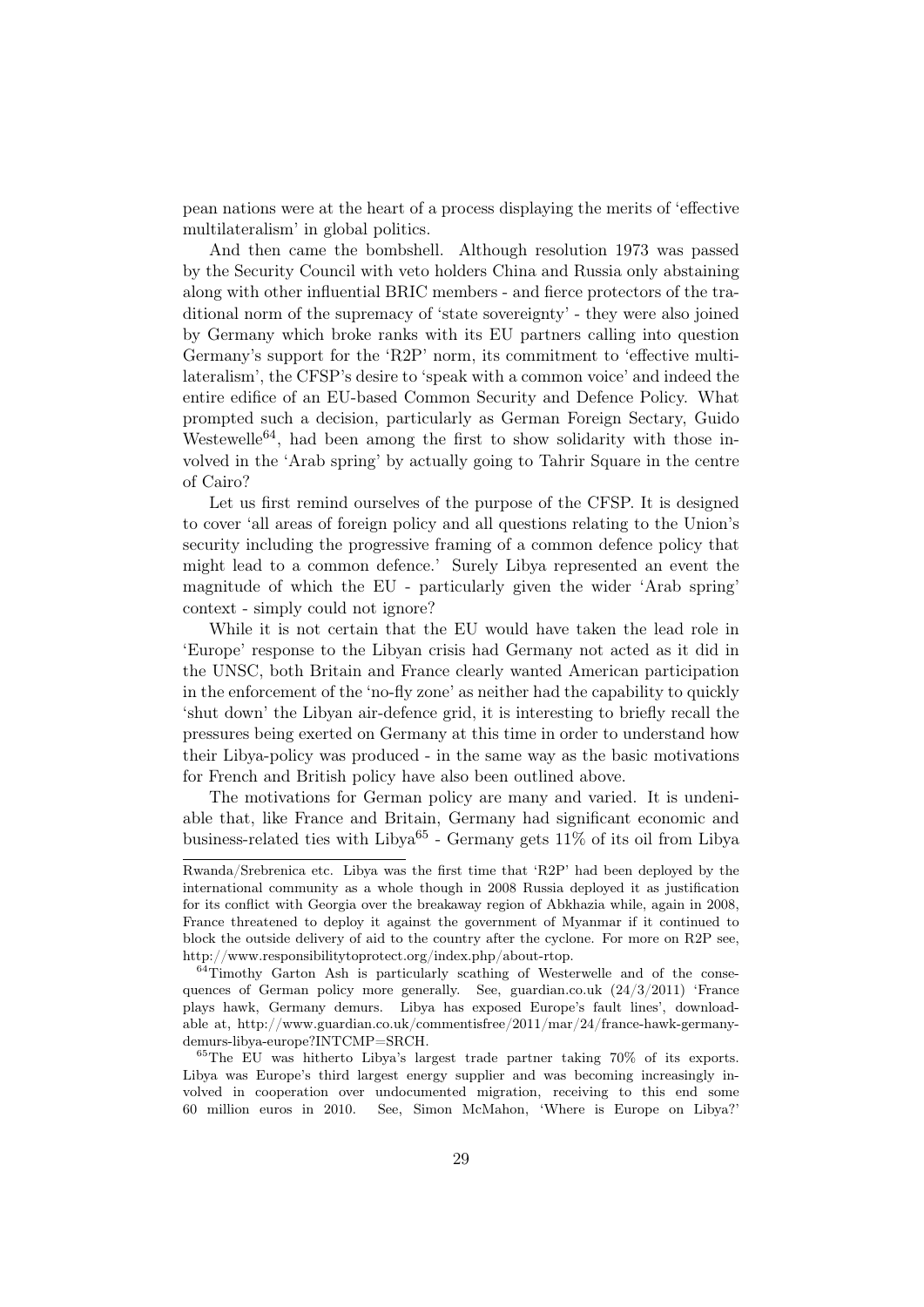pean nations were at the heart of a process displaying the merits of 'effective multilateralism' in global politics.

And then came the bombshell. Although resolution 1973 was passed by the Security Council with veto holders China and Russia only abstaining along with other influential BRIC members - and fierce protectors of the traditional norm of the supremacy of 'state sovereignty' - they were also joined by Germany which broke ranks with its EU partners calling into question Germany's support for the 'R2P' norm, its commitment to 'effective multilateralism', the CFSP's desire to 'speak with a common voice' and indeed the entire edifice of an EU-based Common Security and Defence Policy. What prompted such a decision, particularly as German Foreign Sectary, Guido Westewelle<sup>64</sup>, had been among the first to show solidarity with those involved in the 'Arab spring' by actually going to Tahrir Square in the centre of Cairo?

Let us first remind ourselves of the purpose of the CFSP. It is designed to cover 'all areas of foreign policy and all questions relating to the Union's security including the progressive framing of a common defence policy that might lead to a common defence.' Surely Libya represented an event the magnitude of which the EU - particularly given the wider 'Arab spring' context - simply could not ignore?

While it is not certain that the EU would have taken the lead role in 'Europe' response to the Libyan crisis had Germany not acted as it did in the UNSC, both Britain and France clearly wanted American participation in the enforcement of the 'no-fly zone' as neither had the capability to quickly 'shut down' the Libyan air-defence grid, it is interesting to briefly recall the pressures being exerted on Germany at this time in order to understand how their Libya-policy was produced - in the same way as the basic motivations for French and British policy have also been outlined above.

The motivations for German policy are many and varied. It is undeniable that, like France and Britain, Germany had significant economic and business-related ties with Libya<sup>65</sup> - Germany gets  $11\%$  of its oil from Libya

Rwanda/Srebrenica etc. Libya was the first time that 'R2P' had been deployed by the international community as a whole though in 2008 Russia deployed it as justification for its conflict with Georgia over the breakaway region of Abkhazia while, again in 2008, France threatened to deploy it against the government of Myanmar if it continued to block the outside delivery of aid to the country after the cyclone. For more on R2P see, http://www.responsibilitytoprotect.org/index.php/about-rtop.

<sup>&</sup>lt;sup>64</sup>Timothy Garton Ash is particularly scathing of Westerwelle and of the consequences of German policy more generally. See, guardian.co.uk  $(24/3/2011)$  'France plays hawk, Germany demurs. Libya has exposed Europe's fault lines', downloadable at, http://www.guardian.co.uk/commentisfree/2011/mar/24/france-hawk-germanydemurs-libya-europe?INTCMP=SRCH.

<sup>65</sup>The EU was hitherto Libya's largest trade partner taking 70% of its exports. Libya was Europe's third largest energy supplier and was becoming increasingly involved in cooperation over undocumented migration, receiving to this end some 60 million euros in 2010. See, Simon McMahon, 'Where is Europe on Libya?'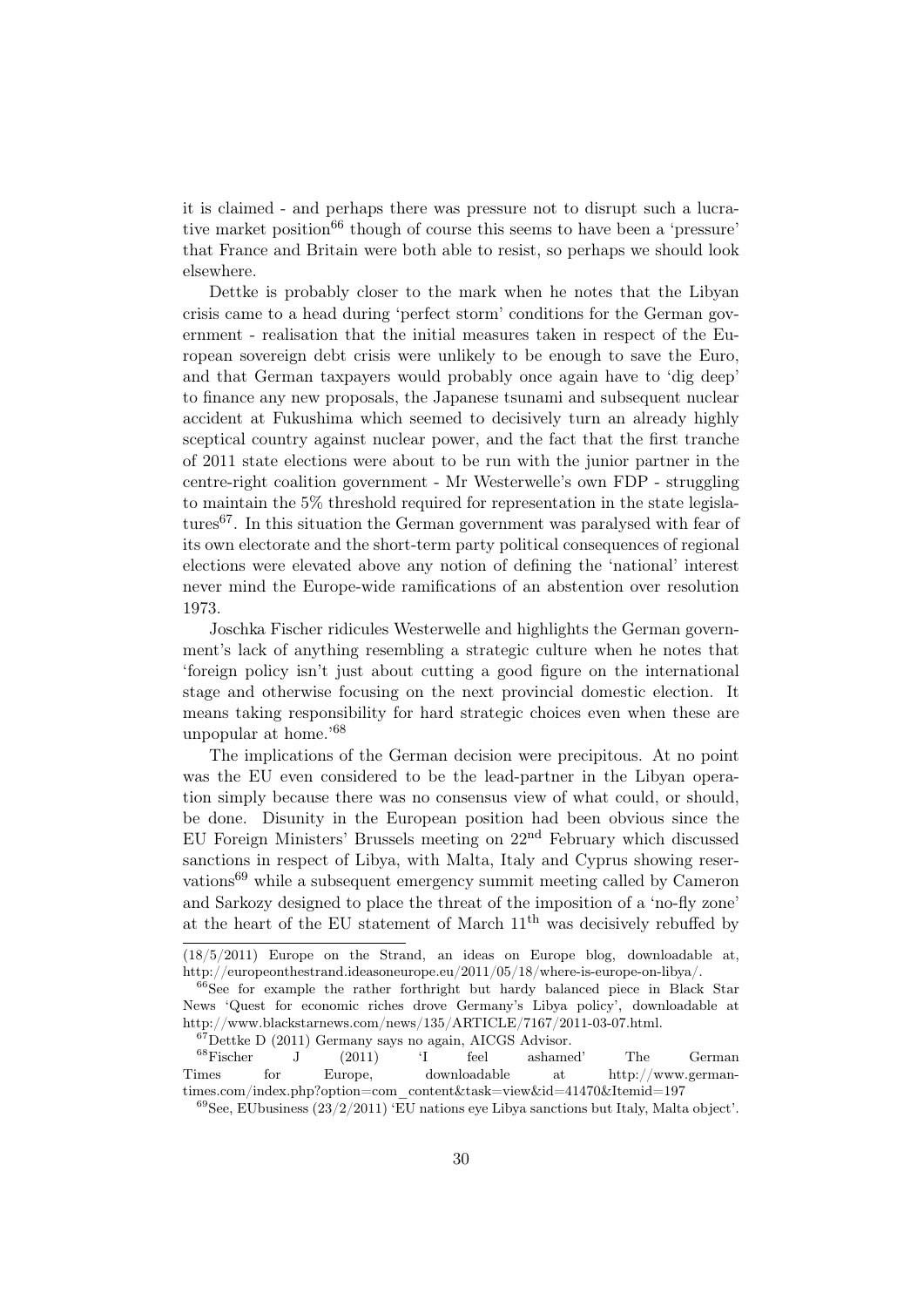it is claimed - and perhaps there was pressure not to disrupt such a lucrative market position<sup>66</sup> though of course this seems to have been a 'pressure' that France and Britain were both able to resist, so perhaps we should look elsewhere.

Dettke is probably closer to the mark when he notes that the Libyan crisis came to a head during 'perfect storm' conditions for the German government - realisation that the initial measures taken in respect of the European sovereign debt crisis were unlikely to be enough to save the Euro, and that German taxpayers would probably once again have to 'dig deep' to finance any new proposals, the Japanese tsunami and subsequent nuclear accident at Fukushima which seemed to decisively turn an already highly sceptical country against nuclear power, and the fact that the first tranche of 2011 state elections were about to be run with the junior partner in the centre-right coalition government - Mr Westerwelle's own FDP - struggling to maintain the 5% threshold required for representation in the state legislatures<sup>67</sup>. In this situation the German government was paralysed with fear of its own electorate and the short-term party political consequences of regional elections were elevated above any notion of defining the 'national' interest never mind the Europe-wide ramifications of an abstention over resolution 1973.

Joschka Fischer ridicules Westerwelle and highlights the German government's lack of anything resembling a strategic culture when he notes that 'foreign policy isn't just about cutting a good figure on the international stage and otherwise focusing on the next provincial domestic election. It means taking responsibility for hard strategic choices even when these are unpopular at home.'68

The implications of the German decision were precipitous. At no point was the EU even considered to be the lead-partner in the Libyan operation simply because there was no consensus view of what could, or should, be done. Disunity in the European position had been obvious since the EU Foreign Ministers' Brussels meeting on 22nd February which discussed sanctions in respect of Libya, with Malta, Italy and Cyprus showing reservations69 while a subsequent emergency summit meeting called by Cameron and Sarkozy designed to place the threat of the imposition of a 'no-fly zone' at the heart of the EU statement of March 11th was decisively rebuffed by

<sup>(18/5/2011)</sup> Europe on the Strand, an ideas on Europe blog, downloadable at, http://europeonthestrand.ideasoneurope.eu/2011/05/18/where-is-europe-on-libya/.

<sup>&</sup>lt;sup>66</sup>See for example the rather forthright but hardy balanced piece in Black Star News 'Quest for economic riches drove Germany's Libya policy', downloadable at http://www.blackstarnews.com/news/135/ARTICLE/7167/2011-03-07.html.

<sup>67</sup>Dettke D (2011) Germany says no again, AICGS Advisor.

<sup>68</sup>Fischer J (2011) 'I feel ashamed' The German Times for Europe, downloadable at http://www.germantimes.com/index.php?option=com\_content&task=view&id=41470&Itemid=197

 $^{69}$ See, EUbusiness (23/2/2011) 'EU nations eye Libya sanctions but Italy, Malta object'.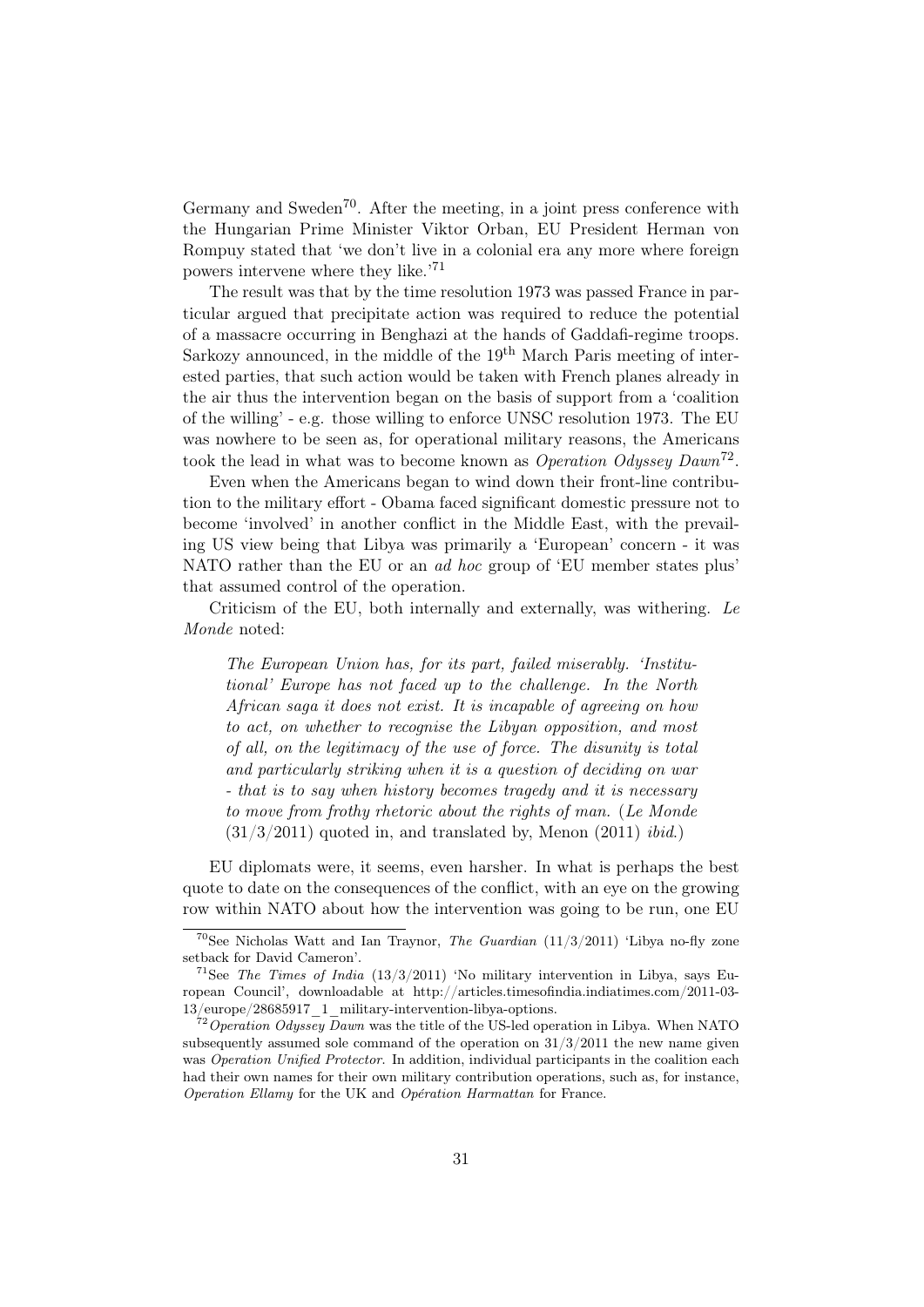Germany and Sweden<sup>70</sup>. After the meeting, in a joint press conference with the Hungarian Prime Minister Viktor Orban, EU President Herman von Rompuy stated that 'we don't live in a colonial era any more where foreign powers intervene where they like.'71

The result was that by the time resolution 1973 was passed France in particular argued that precipitate action was required to reduce the potential of a massacre occurring in Benghazi at the hands of Gaddafi-regime troops. Sarkozy announced, in the middle of the  $19<sup>th</sup>$  March Paris meeting of interested parties, that such action would be taken with French planes already in the air thus the intervention began on the basis of support from a 'coalition of the willing' - e.g. those willing to enforce UNSC resolution 1973. The EU was nowhere to be seen as, for operational military reasons, the Americans took the lead in what was to become known as *Operation Odyssey Dawn*<sup>72</sup>.

Even when the Americans began to wind down their front-line contribution to the military effort - Obama faced significant domestic pressure not to become 'involved' in another conflict in the Middle East, with the prevailing US view being that Libya was primarily a 'European' concern - it was NATO rather than the EU or an ad hoc group of 'EU member states plus' that assumed control of the operation.

Criticism of the EU, both internally and externally, was withering. Le Monde noted:

The European Union has, for its part, failed miserably. 'Institutional' Europe has not faced up to the challenge. In the North African saga it does not exist. It is incapable of agreeing on how to act, on whether to recognise the Libyan opposition, and most of all, on the legitimacy of the use of force. The disunity is total and particularly striking when it is a question of deciding on war - that is to say when history becomes tragedy and it is necessary to move from frothy rhetoric about the rights of man. (Le Monde  $(31/3/2011)$  quoted in, and translated by, Menon  $(2011)$  *ibid.*)

EU diplomats were, it seems, even harsher. In what is perhaps the best quote to date on the consequences of the conflict, with an eye on the growing row within NATO about how the intervention was going to be run, one EU

 $70$ See Nicholas Watt and Ian Traynor, *The Guardian* (11/3/2011) 'Libya no-fly zone setback for David Cameron'.

<sup>&</sup>lt;sup>71</sup>See The Times of India  $(13/3/2011)$  'No military intervention in Libya, says European Council', downloadable at http://articles.timesofindia.indiatimes.com/2011-03- 13/europe/28685917\_1\_military-intervention-libya-options.

 $72$  Operation Odyssey Dawn was the title of the US-led operation in Libya. When NATO subsequently assumed sole command of the operation on  $31/3/2011$  the new name given was Operation Unified Protector. In addition, individual participants in the coalition each had their own names for their own military contribution operations, such as, for instance, Operation Ellamy for the UK and Opération Harmattan for France.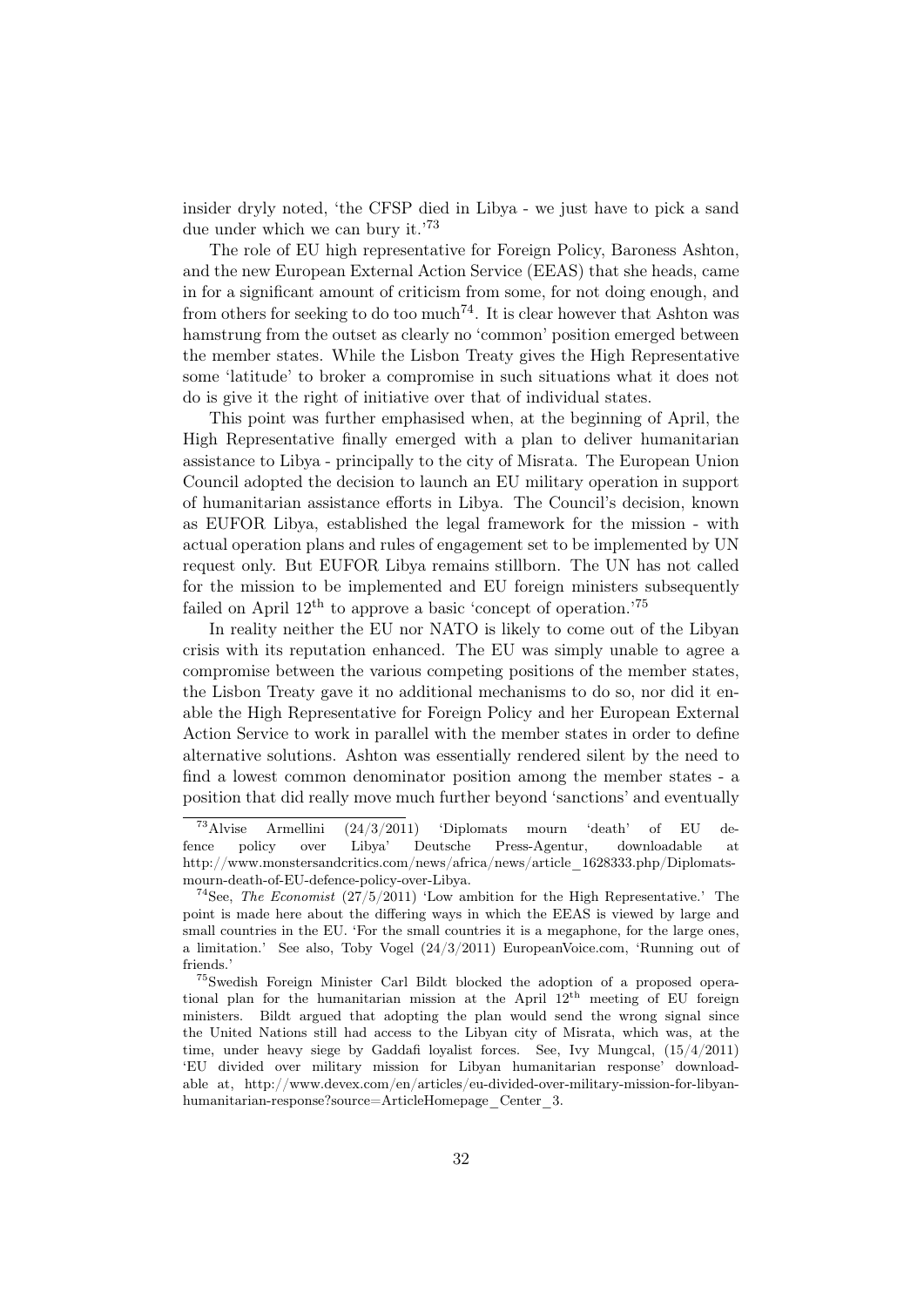insider dryly noted, 'the CFSP died in Libya - we just have to pick a sand due under which we can bury it.'73

The role of EU high representative for Foreign Policy, Baroness Ashton, and the new European External Action Service (EEAS) that she heads, came in for a significant amount of criticism from some, for not doing enough, and from others for seeking to do too much<sup>74</sup>. It is clear however that Ashton was hamstrung from the outset as clearly no 'common' position emerged between the member states. While the Lisbon Treaty gives the High Representative some 'latitude' to broker a compromise in such situations what it does not do is give it the right of initiative over that of individual states.

This point was further emphasised when, at the beginning of April, the High Representative finally emerged with a plan to deliver humanitarian assistance to Libya - principally to the city of Misrata. The European Union Council adopted the decision to launch an EU military operation in support of humanitarian assistance efforts in Libya. The Council's decision, known as EUFOR Libya, established the legal framework for the mission - with actual operation plans and rules of engagement set to be implemented by UN request only. But EUFOR Libya remains stillborn. The UN has not called for the mission to be implemented and EU foreign ministers subsequently failed on April  $12<sup>th</sup>$  to approve a basic 'concept of operation.'<sup>75</sup>

In reality neither the EU nor NATO is likely to come out of the Libyan crisis with its reputation enhanced. The EU was simply unable to agree a compromise between the various competing positions of the member states, the Lisbon Treaty gave it no additional mechanisms to do so, nor did it enable the High Representative for Foreign Policy and her European External Action Service to work in parallel with the member states in order to define alternative solutions. Ashton was essentially rendered silent by the need to find a lowest common denominator position among the member states - a position that did really move much further beyond 'sanctions' and eventually

<sup>73</sup>Alvise Armellini (24/3/2011) 'Diplomats mourn 'death' of EU defence policy over Libya' Deutsche Press-Agentur, downloadable at http://www.monstersandcritics.com/news/africa/news/article 1628333.php/Diplomatsmourn-death-of-EU-defence-policy-over-Libya.

<sup>&</sup>lt;sup>74</sup>See, *The Economist* (27/5/2011) 'Low ambition for the High Representative.' The point is made here about the differing ways in which the EEAS is viewed by large and small countries in the EU. 'For the small countries it is a megaphone, for the large ones, a limitation.' See also, Toby Vogel (24/3/2011) EuropeanVoice.com, 'Running out of friends<sup>'</sup>

<sup>75</sup>Swedish Foreign Minister Carl Bildt blocked the adoption of a proposed operational plan for the humanitarian mission at the April 12th meeting of EU foreign ministers. Bildt argued that adopting the plan would send the wrong signal since the United Nations still had access to the Libyan city of Misrata, which was, at the time, under heavy siege by Gaddafi loyalist forces. See, Ivy Mungcal, (15/4/2011) 'EU divided over military mission for Libyan humanitarian response' downloadable at, http://www.devex.com/en/articles/eu-divided-over-military-mission-for-libyanhumanitarian-response?source=ArticleHomepage\_Center\_3.